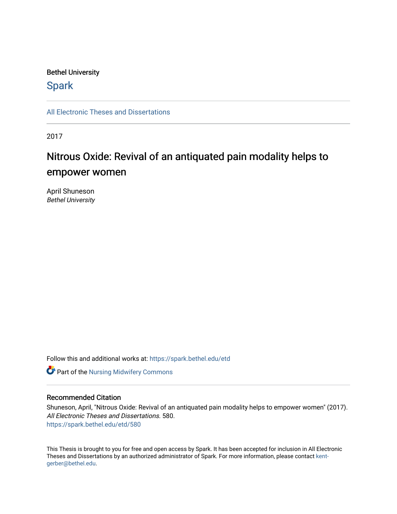### Bethel University

# **Spark**

[All Electronic Theses and Dissertations](https://spark.bethel.edu/etd) 

2017

# Nitrous Oxide: Revival of an antiquated pain modality helps to empower women

April Shuneson Bethel University

Follow this and additional works at: [https://spark.bethel.edu/etd](https://spark.bethel.edu/etd?utm_source=spark.bethel.edu%2Fetd%2F580&utm_medium=PDF&utm_campaign=PDFCoverPages)



#### Recommended Citation

Shuneson, April, "Nitrous Oxide: Revival of an antiquated pain modality helps to empower women" (2017). All Electronic Theses and Dissertations. 580. [https://spark.bethel.edu/etd/580](https://spark.bethel.edu/etd/580?utm_source=spark.bethel.edu%2Fetd%2F580&utm_medium=PDF&utm_campaign=PDFCoverPages)

This Thesis is brought to you for free and open access by Spark. It has been accepted for inclusion in All Electronic Theses and Dissertations by an authorized administrator of Spark. For more information, please contact [kent](mailto:kent-gerber@bethel.edu)[gerber@bethel.edu.](mailto:kent-gerber@bethel.edu)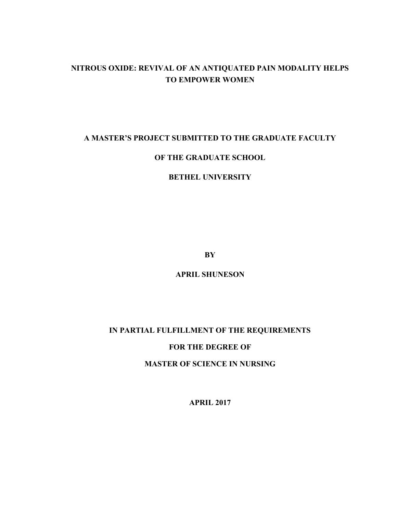# **NITROUS OXIDE: REVIVAL OF AN ANTIQUATED PAIN MODALITY HELPS TO EMPOWER WOMEN**

### **A MASTER'S PROJECT SUBMITTED TO THE GRADUATE FACULTY**

### **OF THE GRADUATE SCHOOL**

### **BETHEL UNIVERSITY**

**BY**

**APRIL SHUNESON**

# **IN PARTIAL FULFILLMENT OF THE REQUIREMENTS**

## **FOR THE DEGREE OF**

**MASTER OF SCIENCE IN NURSING**

**APRIL 2017**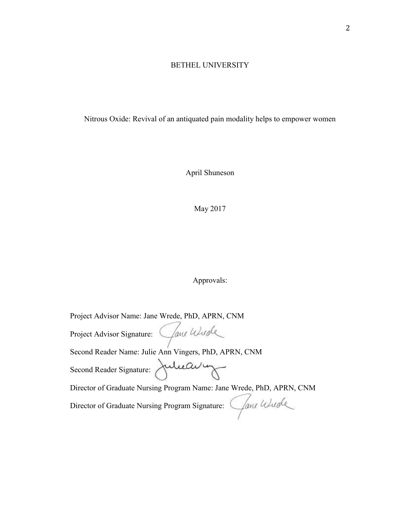# BETHEL UNIVERSITY

Nitrous Oxide: Revival of an antiquated pain modality helps to empower women

April Shuneson

May 2017

# Approvals:

| Project Advisor Name: Jane Wrede, PhD, APRN, CNM                      |
|-----------------------------------------------------------------------|
| Clane Wude<br>Project Advisor Signature:                              |
| Second Reader Name: Julie Ann Vingers, PhD, APRN, CNM                 |
| Second Reader Signature: Julieau in                                   |
| Director of Graduate Nursing Program Name: Jane Wrede, PhD, APRN, CNM |
| Director of Graduate Nursing Program Signature: Cane Wurde            |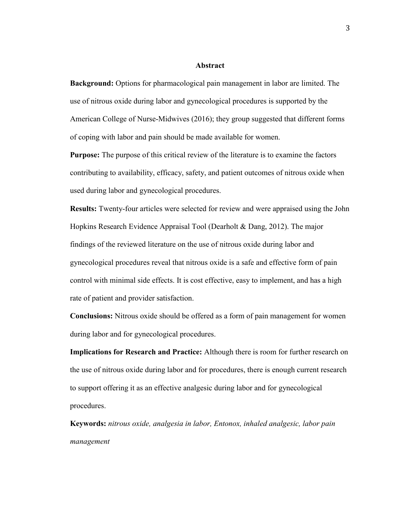#### **Abstract**

**Background:** Options for pharmacological pain management in labor are limited. The use of nitrous oxide during labor and gynecological procedures is supported by the American College of Nurse-Midwives (2016); they group suggested that different forms of coping with labor and pain should be made available for women.

**Purpose:** The purpose of this critical review of the literature is to examine the factors contributing to availability, efficacy, safety, and patient outcomes of nitrous oxide when used during labor and gynecological procedures.

**Results:** Twenty-four articles were selected for review and were appraised using the John Hopkins Research Evidence Appraisal Tool (Dearholt & Dang, 2012). The major findings of the reviewed literature on the use of nitrous oxide during labor and gynecological procedures reveal that nitrous oxide is a safe and effective form of pain control with minimal side effects. It is cost effective, easy to implement, and has a high rate of patient and provider satisfaction.

**Conclusions:** Nitrous oxide should be offered as a form of pain management for women during labor and for gynecological procedures.

**Implications for Research and Practice:** Although there is room for further research on the use of nitrous oxide during labor and for procedures, there is enough current research to support offering it as an effective analgesic during labor and for gynecological procedures.

**Keywords:** *nitrous oxide, analgesia in labor, Entonox, inhaled analgesic, labor pain management*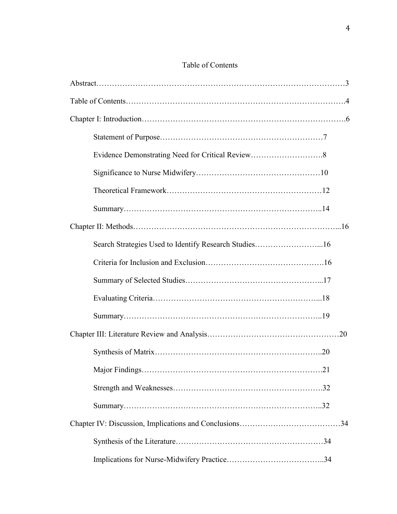## Table of Contents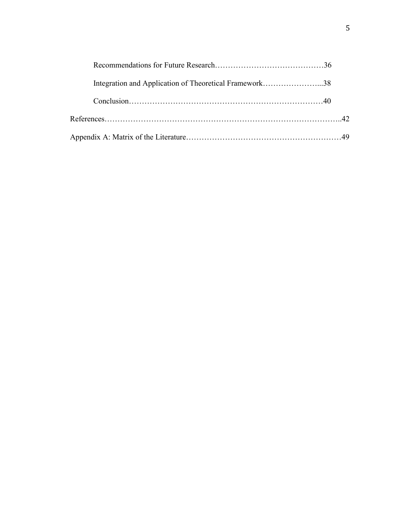| Integration and Application of Theoretical Framework38 |  |
|--------------------------------------------------------|--|
|                                                        |  |
|                                                        |  |
|                                                        |  |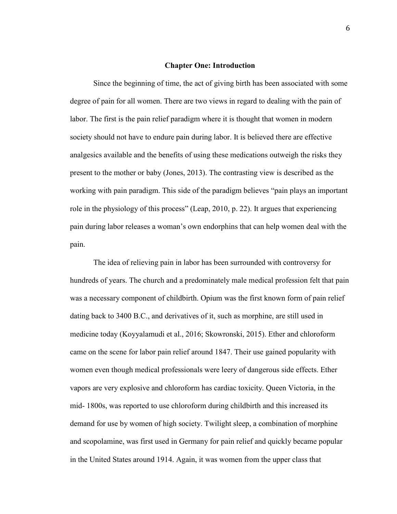#### **Chapter One: Introduction**

Since the beginning of time, the act of giving birth has been associated with some degree of pain for all women. There are two views in regard to dealing with the pain of labor. The first is the pain relief paradigm where it is thought that women in modern society should not have to endure pain during labor. It is believed there are effective analgesics available and the benefits of using these medications outweigh the risks they present to the mother or baby (Jones, 2013). The contrasting view is described as the working with pain paradigm. This side of the paradigm believes "pain plays an important role in the physiology of this process" (Leap, 2010, p. 22). It argues that experiencing pain during labor releases a woman's own endorphins that can help women deal with the pain.

The idea of relieving pain in labor has been surrounded with controversy for hundreds of years. The church and a predominately male medical profession felt that pain was a necessary component of childbirth. Opium was the first known form of pain relief dating back to 3400 B.C., and derivatives of it, such as morphine, are still used in medicine today (Koyyalamudi et al., 2016; Skowronski, 2015). Ether and chloroform came on the scene for labor pain relief around 1847. Their use gained popularity with women even though medical professionals were leery of dangerous side effects. Ether vapors are very explosive and chloroform has cardiac toxicity. Queen Victoria, in the mid- 1800s, was reported to use chloroform during childbirth and this increased its demand for use by women of high society. Twilight sleep, a combination of morphine and scopolamine, was first used in Germany for pain relief and quickly became popular in the United States around 1914. Again, it was women from the upper class that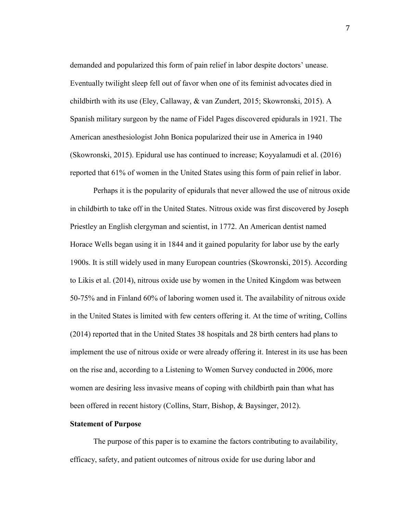demanded and popularized this form of pain relief in labor despite doctors' unease. Eventually twilight sleep fell out of favor when one of its feminist advocates died in childbirth with its use (Eley, Callaway, & van Zundert, 2015; Skowronski, 2015). A Spanish military surgeon by the name of Fidel Pages discovered epidurals in 1921. The American anesthesiologist John Bonica popularized their use in America in 1940 (Skowronski, 2015). Epidural use has continued to increase; Koyyalamudi et al. (2016) reported that 61% of women in the United States using this form of pain relief in labor.

Perhaps it is the popularity of epidurals that never allowed the use of nitrous oxide in childbirth to take off in the United States. Nitrous oxide was first discovered by Joseph Priestley an English clergyman and scientist, in 1772. An American dentist named Horace Wells began using it in 1844 and it gained popularity for labor use by the early 1900s. It is still widely used in many European countries (Skowronski, 2015). According to Likis et al. (2014), nitrous oxide use by women in the United Kingdom was between 50-75% and in Finland 60% of laboring women used it. The availability of nitrous oxide in the United States is limited with few centers offering it. At the time of writing, Collins (2014) reported that in the United States 38 hospitals and 28 birth centers had plans to implement the use of nitrous oxide or were already offering it. Interest in its use has been on the rise and, according to a Listening to Women Survey conducted in 2006, more women are desiring less invasive means of coping with childbirth pain than what has been offered in recent history (Collins, Starr, Bishop, & Baysinger, 2012).

#### **Statement of Purpose**

The purpose of this paper is to examine the factors contributing to availability, efficacy, safety, and patient outcomes of nitrous oxide for use during labor and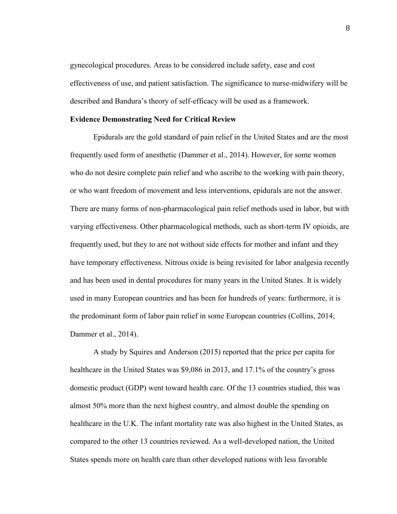gynecological procedures. Areas to be considered include safety, ease and cost effectiveness of use, and patient satisfaction. The significance to nurse-midwifery will be described and Bandura's theory of self-efficacy will be used as a framework.

#### **Evidence Demonstrating Need for Critical Review**

Epidurals are the gold standard of pain relief in the United States and are the most frequently used form of anesthetic (Dammer et al., 2014). However, for some women who do not desire complete pain relief and who ascribe to the working with pain theory, or who want freedom of movement and less interventions, epidurals are not the answer. There are many forms of non-pharmacological pain relief methods used in labor, but with varying effectiveness. Other pharmacological methods, such as short-term IV opioids, are frequently used, but they to are not without side effects for mother and infant and they have temporary effectiveness. Nitrous oxide is being revisited for labor analgesia recently and has been used in dental procedures for many years in the United States. It is widely used in many European countries and has been for hundreds of years: furthermore, it is the predominant form of labor pain relief in some European countries (Collins, 2014; Dammer et al., 2014).

A study by Squires and Anderson (2015) reported that the price per capita for healthcare in the United States was \$9,086 in 2013, and 17.1% of the country's gross domestic product (GDP) went toward health care. Of the 13 countries studied, this was almost 50% more than the next highest country, and almost double the spending on healthcare in the U.K. The infant mortality rate was also highest in the United States, as compared to the other 13 countries reviewed. As a well-developed nation, the United States spends more on health care than other developed nations with less favorable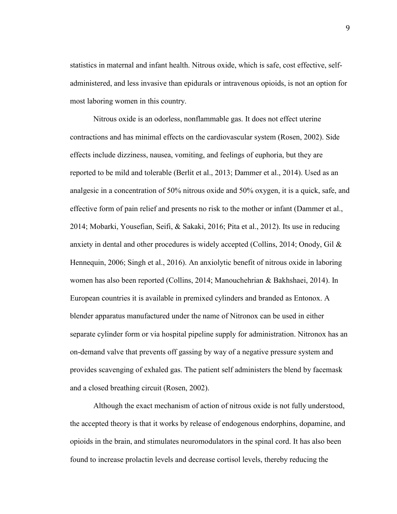statistics in maternal and infant health. Nitrous oxide, which is safe, cost effective, selfadministered, and less invasive than epidurals or intravenous opioids, is not an option for most laboring women in this country.

Nitrous oxide is an odorless, nonflammable gas. It does not effect uterine contractions and has minimal effects on the cardiovascular system (Rosen, 2002). Side effects include dizziness, nausea, vomiting, and feelings of euphoria, but they are reported to be mild and tolerable (Berlit et al., 2013; Dammer et al., 2014). Used as an analgesic in a concentration of 50% nitrous oxide and 50% oxygen, it is a quick, safe, and effective form of pain relief and presents no risk to the mother or infant (Dammer et al., 2014; Mobarki, Yousefian, Seifi, & Sakaki, 2016; Pita et al., 2012). Its use in reducing anxiety in dental and other procedures is widely accepted (Collins, 2014; Onody, Gil & Hennequin, 2006; Singh et al., 2016). An anxiolytic benefit of nitrous oxide in laboring women has also been reported (Collins, 2014; Manouchehrian & Bakhshaei, 2014). In European countries it is available in premixed cylinders and branded as Entonox. A blender apparatus manufactured under the name of Nitronox can be used in either separate cylinder form or via hospital pipeline supply for administration. Nitronox has an on-demand valve that prevents off gassing by way of a negative pressure system and provides scavenging of exhaled gas. The patient self administers the blend by facemask and a closed breathing circuit (Rosen, 2002).

Although the exact mechanism of action of nitrous oxide is not fully understood, the accepted theory is that it works by release of endogenous endorphins, dopamine, and opioids in the brain, and stimulates neuromodulators in the spinal cord. It has also been found to increase prolactin levels and decrease cortisol levels, thereby reducing the

9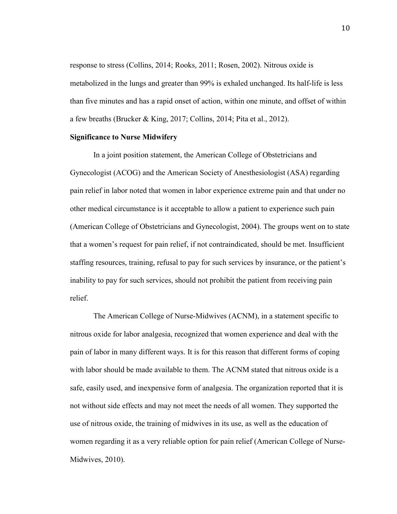response to stress (Collins, 2014; Rooks, 2011; Rosen, 2002). Nitrous oxide is metabolized in the lungs and greater than 99% is exhaled unchanged. Its half-life is less than five minutes and has a rapid onset of action, within one minute, and offset of within a few breaths (Brucker & King, 2017; Collins, 2014; Pita et al., 2012).

#### **Significance to Nurse Midwifery**

In a joint position statement, the American College of Obstetricians and Gynecologist (ACOG) and the American Society of Anesthesiologist (ASA) regarding pain relief in labor noted that women in labor experience extreme pain and that under no other medical circumstance is it acceptable to allow a patient to experience such pain (American College of Obstetricians and Gynecologist, 2004). The groups went on to state that a women's request for pain relief, if not contraindicated, should be met. Insufficient staffing resources, training, refusal to pay for such services by insurance, or the patient's inability to pay for such services, should not prohibit the patient from receiving pain relief.

The American College of Nurse-Midwives (ACNM), in a statement specific to nitrous oxide for labor analgesia, recognized that women experience and deal with the pain of labor in many different ways. It is for this reason that different forms of coping with labor should be made available to them. The ACNM stated that nitrous oxide is a safe, easily used, and inexpensive form of analgesia. The organization reported that it is not without side effects and may not meet the needs of all women. They supported the use of nitrous oxide, the training of midwives in its use, as well as the education of women regarding it as a very reliable option for pain relief (American College of Nurse-Midwives, 2010).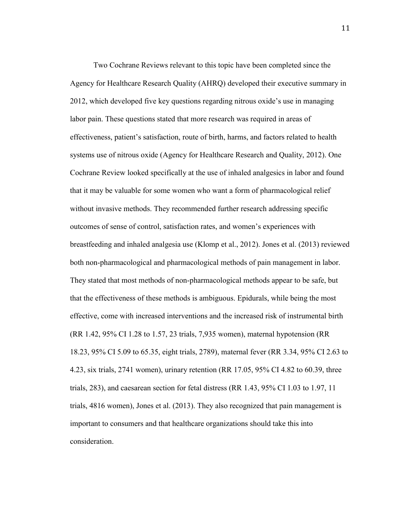Two Cochrane Reviews relevant to this topic have been completed since the Agency for Healthcare Research Quality (AHRQ) developed their executive summary in 2012, which developed five key questions regarding nitrous oxide's use in managing labor pain. These questions stated that more research was required in areas of effectiveness, patient's satisfaction, route of birth, harms, and factors related to health systems use of nitrous oxide (Agency for Healthcare Research and Quality, 2012). One Cochrane Review looked specifically at the use of inhaled analgesics in labor and found that it may be valuable for some women who want a form of pharmacological relief without invasive methods. They recommended further research addressing specific outcomes of sense of control, satisfaction rates, and women's experiences with breastfeeding and inhaled analgesia use (Klomp et al., 2012). Jones et al. (2013) reviewed both non-pharmacological and pharmacological methods of pain management in labor. They stated that most methods of non-pharmacological methods appear to be safe, but that the effectiveness of these methods is ambiguous. Epidurals, while being the most effective, come with increased interventions and the increased risk of instrumental birth (RR 1.42, 95% CI 1.28 to 1.57, 23 trials, 7,935 women), maternal hypotension (RR 18.23, 95% CI 5.09 to 65.35, eight trials, 2789), maternal fever (RR 3.34, 95% CI 2.63 to 4.23, six trials, 2741 women), urinary retention (RR 17.05, 95% CI 4.82 to 60.39, three trials, 283), and caesarean section for fetal distress (RR 1.43, 95% CI 1.03 to 1.97, 11 trials, 4816 women), Jones et al. (2013). They also recognized that pain management is important to consumers and that healthcare organizations should take this into consideration.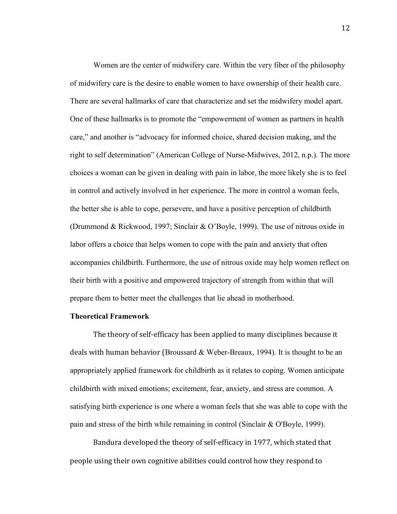Women are the center of midwifery care. Within the very fiber of the philosophy of midwifery care is the desire to enable women to have ownership of their health care. There are several hallmarks of care that characterize and set the midwifery model apart. One of these hallmarks is to promote the "empowerment of women as partners in health care," and another is "advocacy for informed choice, shared decision making, and the right to self determination" (American College of Nurse-Midwives, 2012, n.p.). The more choices a woman can be given in dealing with pain in labor, the more likely she is to feel in control and actively involved in her experience. The more in control a woman feels, the better she is able to cope, persevere, and have a positive perception of childbirth (Drummond & Rickwood, 1997; Sinclair & O'Boyle, 1999). The use of nitrous oxide in labor offers a choice that helps women to cope with the pain and anxiety that often accompanies childbirth. Furthermore, the use of nitrous oxide may help women reflect on their birth with a positive and empowered trajectory of strength from within that will prepare them to better meet the challenges that lie ahead in motherhood.

#### **Theoretical Framework**

The theory of self-efficacy has been applied to many disciplines because it deals with human behavior (Broussard  $\&$  Weber-Breaux, 1994). It is thought to be an appropriately applied framework for childbirth as it relates to coping. Women anticipate childbirth with mixed emotions; excitement, fear, anxiety, and stress are common. A satisfying birth experience is one where a woman feels that she was able to cope with the pain and stress of the birth while remaining in control (Sinclair & O'Boyle, 1999).

Bandura developed the theory of self-efficacy in 1977, which stated that people using their own cognitive abilities could control how they respond to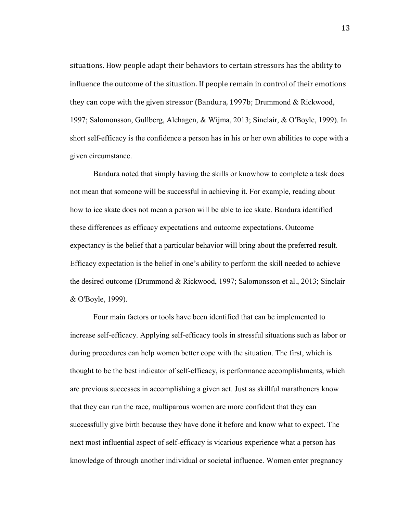situations. How people adapt their behaviors to certain stressors has the ability to influence the outcome of the situation. If people remain in control of their emotions they can cope with the given stressor (Bandura, 1997b; Drummond & Rickwood, 1997; Salomonsson, Gullberg, Alehagen, & Wijma, 2013; Sinclair, & O'Boyle, 1999). In short self-efficacy is the confidence a person has in his or her own abilities to cope with a given circumstance.

Bandura noted that simply having the skills or knowhow to complete a task does not mean that someone will be successful in achieving it. For example, reading about how to ice skate does not mean a person will be able to ice skate. Bandura identified these differences as efficacy expectations and outcome expectations. Outcome expectancy is the belief that a particular behavior will bring about the preferred result. Efficacy expectation is the belief in one's ability to perform the skill needed to achieve the desired outcome (Drummond & Rickwood, 1997; Salomonsson et al., 2013; Sinclair & O'Boyle, 1999).

Four main factors or tools have been identified that can be implemented to increase self-efficacy. Applying self-efficacy tools in stressful situations such as labor or during procedures can help women better cope with the situation. The first, which is thought to be the best indicator of self-efficacy, is performance accomplishments, which are previous successes in accomplishing a given act. Just as skillful marathoners know that they can run the race, multiparous women are more confident that they can successfully give birth because they have done it before and know what to expect. The next most influential aspect of self-efficacy is vicarious experience what a person has knowledge of through another individual or societal influence. Women enter pregnancy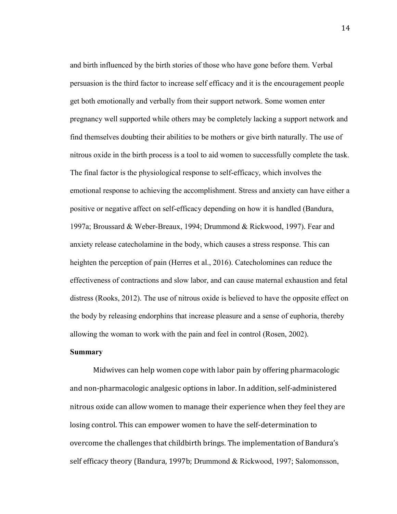and birth influenced by the birth stories of those who have gone before them. Verbal persuasion is the third factor to increase self efficacy and it is the encouragement people get both emotionally and verbally from their support network. Some women enter pregnancy well supported while others may be completely lacking a support network and find themselves doubting their abilities to be mothers or give birth naturally. The use of nitrous oxide in the birth process is a tool to aid women to successfully complete the task. The final factor is the physiological response to self-efficacy, which involves the emotional response to achieving the accomplishment. Stress and anxiety can have either a positive or negative affect on self-efficacy depending on how it is handled (Bandura, 1997a; Broussard & Weber-Breaux, 1994; Drummond & Rickwood, 1997). Fear and anxiety release catecholamine in the body, which causes a stress response. This can heighten the perception of pain (Herres et al., 2016). Catecholomines can reduce the effectiveness of contractions and slow labor, and can cause maternal exhaustion and fetal distress (Rooks, 2012). The use of nitrous oxide is believed to have the opposite effect on the body by releasing endorphins that increase pleasure and a sense of euphoria, thereby allowing the woman to work with the pain and feel in control (Rosen, 2002).

#### **Summary**

Midwives can help women cope with labor pain by offering pharmacologic and non-pharmacologic analgesic options in labor. In addition, self-administered nitrous oxide can allow women to manage their experience when they feel they are losing control. This can empower women to have the self-determination to overcome the challenges that childbirth brings. The implementation of Bandura's self efficacy theory (Bandura, 1997b; Drummond & Rickwood, 1997; Salomonsson,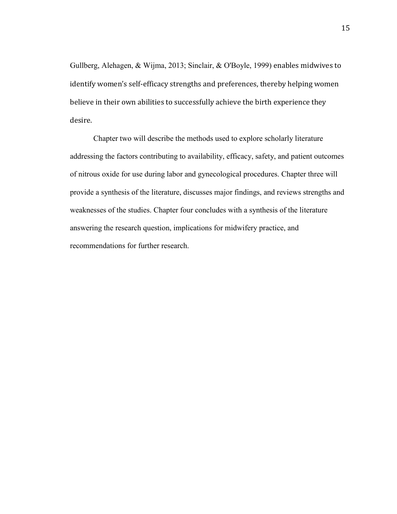Gullberg, Alehagen, & Wijma, 2013; Sinclair, & O'Boyle, 1999) enables midwives to identify women's self-efficacy strengths and preferences, thereby helping women believe in their own abilities to successfully achieve the birth experience they desire.

Chapter two will describe the methods used to explore scholarly literature addressing the factors contributing to availability, efficacy, safety, and patient outcomes of nitrous oxide for use during labor and gynecological procedures. Chapter three will provide a synthesis of the literature, discusses major findings, and reviews strengths and weaknesses of the studies. Chapter four concludes with a synthesis of the literature answering the research question, implications for midwifery practice, and recommendations for further research.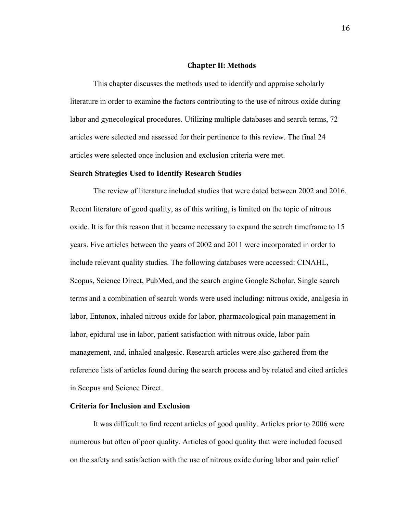#### **Chapter II: Methods**

This chapter discusses the methods used to identify and appraise scholarly literature in order to examine the factors contributing to the use of nitrous oxide during labor and gynecological procedures. Utilizing multiple databases and search terms, 72 articles were selected and assessed for their pertinence to this review. The final 24 articles were selected once inclusion and exclusion criteria were met.

#### **Search Strategies Used to Identify Research Studies**

The review of literature included studies that were dated between 2002 and 2016. Recent literature of good quality, as of this writing, is limited on the topic of nitrous oxide. It is for this reason that it became necessary to expand the search timeframe to 15 years. Five articles between the years of 2002 and 2011 were incorporated in order to include relevant quality studies. The following databases were accessed: CINAHL, Scopus, Science Direct, PubMed, and the search engine Google Scholar. Single search terms and a combination of search words were used including: nitrous oxide, analgesia in labor, Entonox, inhaled nitrous oxide for labor, pharmacological pain management in labor, epidural use in labor, patient satisfaction with nitrous oxide, labor pain management, and, inhaled analgesic. Research articles were also gathered from the reference lists of articles found during the search process and by related and cited articles in Scopus and Science Direct.

### **Criteria for Inclusion and Exclusion**

It was difficult to find recent articles of good quality. Articles prior to 2006 were numerous but often of poor quality. Articles of good quality that were included focused on the safety and satisfaction with the use of nitrous oxide during labor and pain relief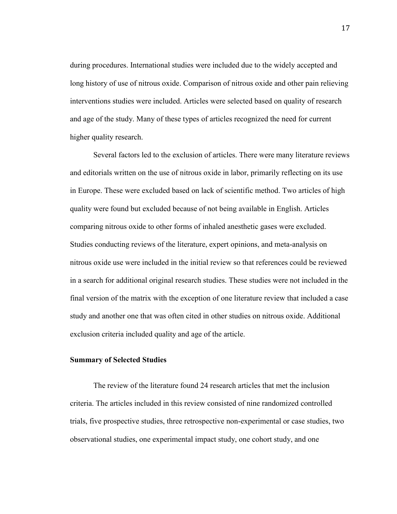during procedures. International studies were included due to the widely accepted and long history of use of nitrous oxide. Comparison of nitrous oxide and other pain relieving interventions studies were included. Articles were selected based on quality of research and age of the study. Many of these types of articles recognized the need for current higher quality research.

Several factors led to the exclusion of articles. There were many literature reviews and editorials written on the use of nitrous oxide in labor, primarily reflecting on its use in Europe. These were excluded based on lack of scientific method. Two articles of high quality were found but excluded because of not being available in English. Articles comparing nitrous oxide to other forms of inhaled anesthetic gases were excluded. Studies conducting reviews of the literature, expert opinions, and meta-analysis on nitrous oxide use were included in the initial review so that references could be reviewed in a search for additional original research studies. These studies were not included in the final version of the matrix with the exception of one literature review that included a case study and another one that was often cited in other studies on nitrous oxide. Additional exclusion criteria included quality and age of the article.

#### **Summary of Selected Studies**

The review of the literature found 24 research articles that met the inclusion criteria. The articles included in this review consisted of nine randomized controlled trials, five prospective studies, three retrospective non-experimental or case studies, two observational studies, one experimental impact study, one cohort study, and one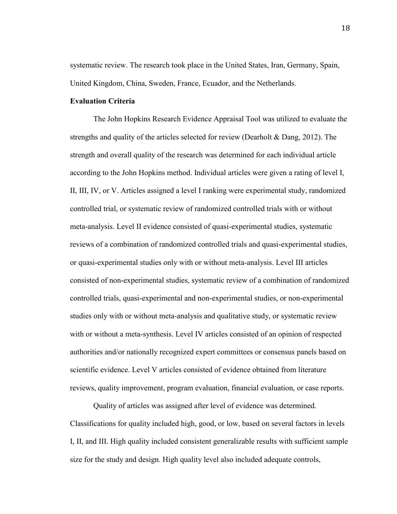systematic review. The research took place in the United States, Iran, Germany, Spain, United Kingdom, China, Sweden, France, Ecuador, and the Netherlands.

#### **Evaluation Criteria**

The John Hopkins Research Evidence Appraisal Tool was utilized to evaluate the strengths and quality of the articles selected for review (Dearholt & Dang, 2012). The strength and overall quality of the research was determined for each individual article according to the John Hopkins method. Individual articles were given a rating of level I, II, III, IV, or V. Articles assigned a level I ranking were experimental study, randomized controlled trial, or systematic review of randomized controlled trials with or without meta-analysis. Level II evidence consisted of quasi-experimental studies, systematic reviews of a combination of randomized controlled trials and quasi-experimental studies, or quasi-experimental studies only with or without meta-analysis. Level III articles consisted of non-experimental studies, systematic review of a combination of randomized controlled trials, quasi-experimental and non-experimental studies, or non-experimental studies only with or without meta-analysis and qualitative study, or systematic review with or without a meta-synthesis. Level IV articles consisted of an opinion of respected authorities and/or nationally recognized expert committees or consensus panels based on scientific evidence. Level V articles consisted of evidence obtained from literature reviews, quality improvement, program evaluation, financial evaluation, or case reports.

Quality of articles was assigned after level of evidence was determined. Classifications for quality included high, good, or low, based on several factors in levels I, II, and III. High quality included consistent generalizable results with sufficient sample size for the study and design. High quality level also included adequate controls,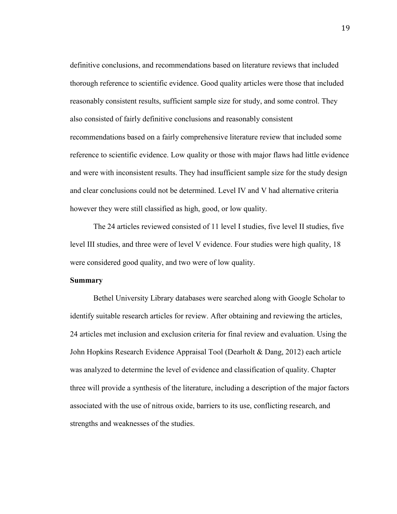definitive conclusions, and recommendations based on literature reviews that included thorough reference to scientific evidence. Good quality articles were those that included reasonably consistent results, sufficient sample size for study, and some control. They also consisted of fairly definitive conclusions and reasonably consistent recommendations based on a fairly comprehensive literature review that included some reference to scientific evidence. Low quality or those with major flaws had little evidence and were with inconsistent results. They had insufficient sample size for the study design and clear conclusions could not be determined. Level IV and V had alternative criteria however they were still classified as high, good, or low quality.

The 24 articles reviewed consisted of 11 level I studies, five level II studies, five level III studies, and three were of level V evidence. Four studies were high quality, 18 were considered good quality, and two were of low quality.

#### **Summary**

Bethel University Library databases were searched along with Google Scholar to identify suitable research articles for review. After obtaining and reviewing the articles, 24 articles met inclusion and exclusion criteria for final review and evaluation. Using the John Hopkins Research Evidence Appraisal Tool (Dearholt & Dang, 2012) each article was analyzed to determine the level of evidence and classification of quality. Chapter three will provide a synthesis of the literature, including a description of the major factors associated with the use of nitrous oxide, barriers to its use, conflicting research, and strengths and weaknesses of the studies.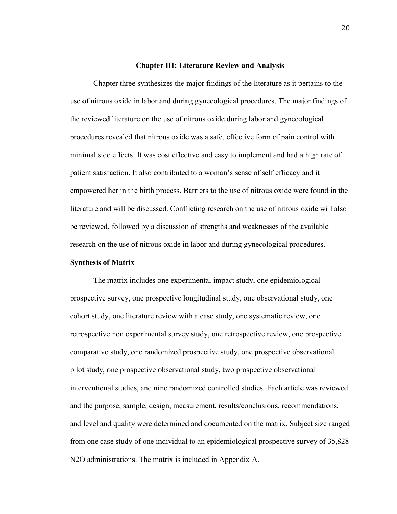#### **Chapter III: Literature Review and Analysis**

Chapter three synthesizes the major findings of the literature as it pertains to the use of nitrous oxide in labor and during gynecological procedures. The major findings of the reviewed literature on the use of nitrous oxide during labor and gynecological procedures revealed that nitrous oxide was a safe, effective form of pain control with minimal side effects. It was cost effective and easy to implement and had a high rate of patient satisfaction. It also contributed to a woman's sense of self efficacy and it empowered her in the birth process. Barriers to the use of nitrous oxide were found in the literature and will be discussed. Conflicting research on the use of nitrous oxide will also be reviewed, followed by a discussion of strengths and weaknesses of the available research on the use of nitrous oxide in labor and during gynecological procedures.

#### **Synthesis of Matrix**

The matrix includes one experimental impact study, one epidemiological prospective survey, one prospective longitudinal study, one observational study, one cohort study, one literature review with a case study, one systematic review, one retrospective non experimental survey study, one retrospective review, one prospective comparative study, one randomized prospective study, one prospective observational pilot study, one prospective observational study, two prospective observational interventional studies, and nine randomized controlled studies. Each article was reviewed and the purpose, sample, design, measurement, results/conclusions, recommendations, and level and quality were determined and documented on the matrix. Subject size ranged from one case study of one individual to an epidemiological prospective survey of 35,828 N2O administrations. The matrix is included in Appendix A.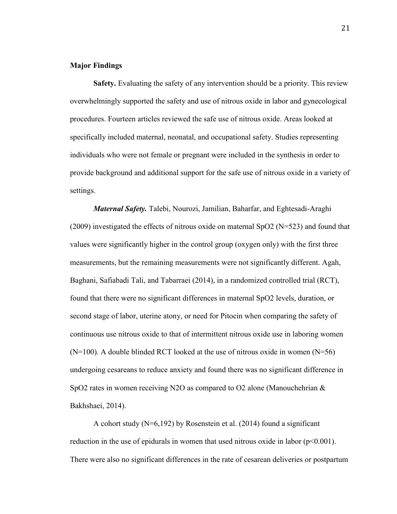#### **Major Findings**

**Safety.** Evaluating the safety of any intervention should be a priority. This review overwhelmingly supported the safety and use of nitrous oxide in labor and gynecological procedures. Fourteen articles reviewed the safe use of nitrous oxide. Areas looked at specifically included maternal, neonatal, and occupational safety. Studies representing individuals who were not female or pregnant were included in the synthesis in order to provide background and additional support for the safe use of nitrous oxide in a variety of settings.

*Maternal Safety.* Talebi, Nourozi, Jamilian, Baharfar, and Eghtesadi-Araghi (2009) investigated the effects of nitrous oxide on maternal SpO2 ( $N=523$ ) and found that values were significantly higher in the control group (oxygen only) with the first three measurements, but the remaining measurements were not significantly different. Agah, Baghani, Safiabadi Tali, and Tabarraei (2014), in a randomized controlled trial (RCT), found that there were no significant differences in maternal SpO2 levels, duration, or second stage of labor, uterine atony, or need for Pitocin when comparing the safety of continuous use nitrous oxide to that of intermittent nitrous oxide use in laboring women  $(N=100)$ . A double blinded RCT looked at the use of nitrous oxide in women  $(N=56)$ undergoing cesareans to reduce anxiety and found there was no significant difference in SpO2 rates in women receiving N2O as compared to O2 alone (Manouchehrian  $\&$ Bakhshaei, 2014).

A cohort study (N=6,192) by Rosenstein et al. (2014) found a significant reduction in the use of epidurals in women that used nitrous oxide in labor  $(p<0.001)$ . There were also no significant differences in the rate of cesarean deliveries or postpartum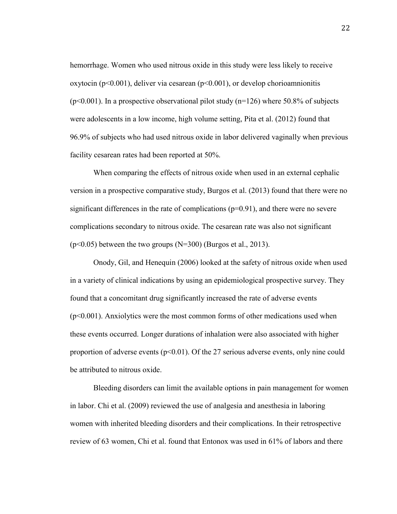hemorrhage. Women who used nitrous oxide in this study were less likely to receive oxytocin (p<0.001), deliver via cesarean (p<0.001), or develop chorioamnionitis  $(p<0.001)$ . In a prospective observational pilot study  $(n=126)$  where 50.8% of subjects were adolescents in a low income, high volume setting, Pita et al. (2012) found that 96.9% of subjects who had used nitrous oxide in labor delivered vaginally when previous facility cesarean rates had been reported at 50%.

When comparing the effects of nitrous oxide when used in an external cephalic version in a prospective comparative study, Burgos et al. (2013) found that there were no significant differences in the rate of complications  $(p=0.91)$ , and there were no severe complications secondary to nitrous oxide. The cesarean rate was also not significant  $(p<0.05)$  between the two groups (N=300) (Burgos et al., 2013).

Onody, Gil, and Henequin (2006) looked at the safety of nitrous oxide when used in a variety of clinical indications by using an epidemiological prospective survey. They found that a concomitant drug significantly increased the rate of adverse events  $(p<0.001)$ . Anxiolytics were the most common forms of other medications used when these events occurred. Longer durations of inhalation were also associated with higher proportion of adverse events  $(p<0.01)$ . Of the 27 serious adverse events, only nine could be attributed to nitrous oxide.

Bleeding disorders can limit the available options in pain management for women in labor. Chi et al. (2009) reviewed the use of analgesia and anesthesia in laboring women with inherited bleeding disorders and their complications. In their retrospective review of 63 women, Chi et al. found that Entonox was used in 61% of labors and there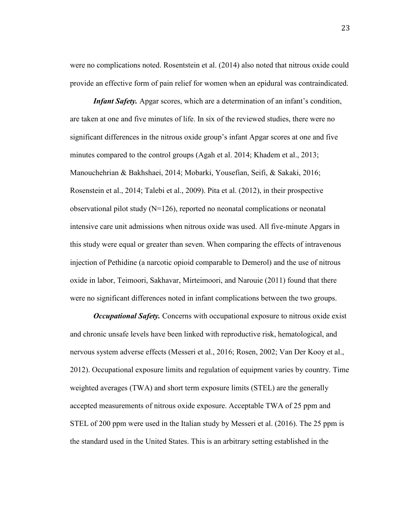were no complications noted. Rosentstein et al. (2014) also noted that nitrous oxide could provide an effective form of pain relief for women when an epidural was contraindicated.

*Infant Safety.* Apgar scores, which are a determination of an infant's condition, are taken at one and five minutes of life. In six of the reviewed studies, there were no significant differences in the nitrous oxide group's infant Apgar scores at one and five minutes compared to the control groups (Agah et al. 2014; Khadem et al., 2013; Manouchehrian & Bakhshaei, 2014; Mobarki, Yousefian, Seifi, & Sakaki, 2016; Rosenstein et al., 2014; Talebi et al., 2009). Pita et al. (2012), in their prospective observational pilot study  $(N=126)$ , reported no neonatal complications or neonatal intensive care unit admissions when nitrous oxide was used. All five-minute Apgars in this study were equal or greater than seven. When comparing the effects of intravenous injection of Pethidine (a narcotic opioid comparable to Demerol) and the use of nitrous oxide in labor, Teimoori, Sakhavar, Mirteimoori, and Narouie (2011) found that there were no significant differences noted in infant complications between the two groups.

*Occupational Safety.* Concerns with occupational exposure to nitrous oxide exist and chronic unsafe levels have been linked with reproductive risk, hematological, and nervous system adverse effects (Messeri et al., 2016; Rosen, 2002; Van Der Kooy et al., 2012). Occupational exposure limits and regulation of equipment varies by country. Time weighted averages (TWA) and short term exposure limits (STEL) are the generally accepted measurements of nitrous oxide exposure. Acceptable TWA of 25 ppm and STEL of 200 ppm were used in the Italian study by Messeri et al. (2016). The 25 ppm is the standard used in the United States. This is an arbitrary setting established in the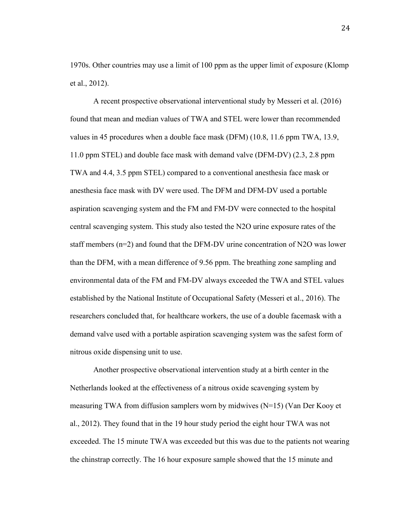1970s. Other countries may use a limit of 100 ppm as the upper limit of exposure (Klomp et al., 2012).

A recent prospective observational interventional study by Messeri et al. (2016) found that mean and median values of TWA and STEL were lower than recommended values in 45 procedures when a double face mask (DFM) (10.8, 11.6 ppm TWA, 13.9, 11.0 ppm STEL) and double face mask with demand valve (DFM-DV) (2.3, 2.8 ppm TWA and 4.4, 3.5 ppm STEL) compared to a conventional anesthesia face mask or anesthesia face mask with DV were used. The DFM and DFM-DV used a portable aspiration scavenging system and the FM and FM-DV were connected to the hospital central scavenging system. This study also tested the N2O urine exposure rates of the staff members (n=2) and found that the DFM-DV urine concentration of N2O was lower than the DFM, with a mean difference of 9.56 ppm. The breathing zone sampling and environmental data of the FM and FM-DV always exceeded the TWA and STEL values established by the National Institute of Occupational Safety (Messeri et al., 2016). The researchers concluded that, for healthcare workers, the use of a double facemask with a demand valve used with a portable aspiration scavenging system was the safest form of nitrous oxide dispensing unit to use.

Another prospective observational intervention study at a birth center in the Netherlands looked at the effectiveness of a nitrous oxide scavenging system by measuring TWA from diffusion samplers worn by midwives (N=15) (Van Der Kooy et al., 2012). They found that in the 19 hour study period the eight hour TWA was not exceeded. The 15 minute TWA was exceeded but this was due to the patients not wearing the chinstrap correctly. The 16 hour exposure sample showed that the 15 minute and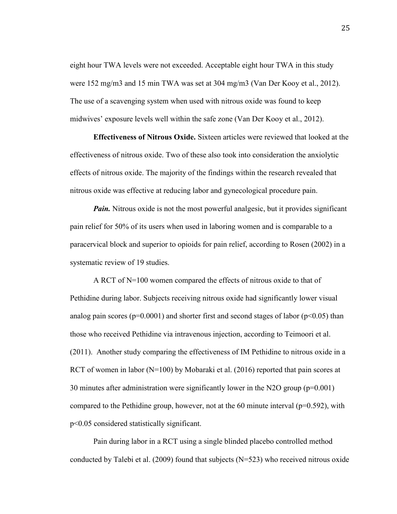eight hour TWA levels were not exceeded. Acceptable eight hour TWA in this study were 152 mg/m3 and 15 min TWA was set at 304 mg/m3 (Van Der Kooy et al., 2012). The use of a scavenging system when used with nitrous oxide was found to keep midwives' exposure levels well within the safe zone (Van Der Kooy et al., 2012).

**Effectiveness of Nitrous Oxide.** Sixteen articles were reviewed that looked at the effectiveness of nitrous oxide. Two of these also took into consideration the anxiolytic effects of nitrous oxide. The majority of the findings within the research revealed that nitrous oxide was effective at reducing labor and gynecological procedure pain.

*Pain.* Nitrous oxide is not the most powerful analgesic, but it provides significant pain relief for 50% of its users when used in laboring women and is comparable to a paracervical block and superior to opioids for pain relief, according to Rosen (2002) in a systematic review of 19 studies.

A RCT of N=100 women compared the effects of nitrous oxide to that of Pethidine during labor. Subjects receiving nitrous oxide had significantly lower visual analog pain scores ( $p=0.0001$ ) and shorter first and second stages of labor ( $p<0.05$ ) than those who received Pethidine via intravenous injection, according to Teimoori et al. (2011). Another study comparing the effectiveness of IM Pethidine to nitrous oxide in a RCT of women in labor ( $N=100$ ) by Mobaraki et al. (2016) reported that pain scores at 30 minutes after administration were significantly lower in the N2O group (p=0.001) compared to the Pethidine group, however, not at the 60 minute interval  $(p=0.592)$ , with p<0.05 considered statistically significant.

Pain during labor in a RCT using a single blinded placebo controlled method conducted by Talebi et al. (2009) found that subjects ( $N=523$ ) who received nitrous oxide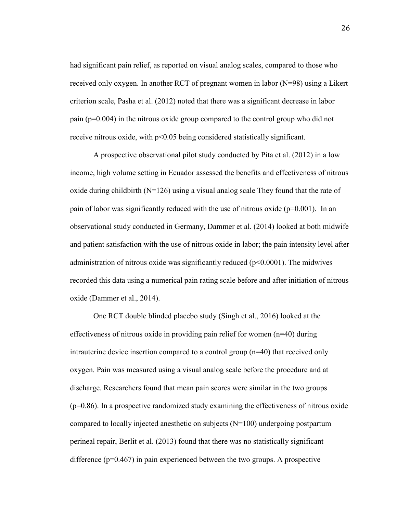had significant pain relief, as reported on visual analog scales, compared to those who received only oxygen. In another RCT of pregnant women in labor (N=98) using a Likert criterion scale, Pasha et al. (2012) noted that there was a significant decrease in labor pain (p=0.004) in the nitrous oxide group compared to the control group who did not receive nitrous oxide, with p<0.05 being considered statistically significant.

A prospective observational pilot study conducted by Pita et al. (2012) in a low income, high volume setting in Ecuador assessed the benefits and effectiveness of nitrous oxide during childbirth ( $N=126$ ) using a visual analog scale They found that the rate of pain of labor was significantly reduced with the use of nitrous oxide ( $p=0.001$ ). In an observational study conducted in Germany, Dammer et al. (2014) looked at both midwife and patient satisfaction with the use of nitrous oxide in labor; the pain intensity level after administration of nitrous oxide was significantly reduced ( $p$ <0.0001). The midwives recorded this data using a numerical pain rating scale before and after initiation of nitrous oxide (Dammer et al., 2014).

One RCT double blinded placebo study (Singh et al., 2016) looked at the effectiveness of nitrous oxide in providing pain relief for women (n=40) during intrauterine device insertion compared to a control group (n=40) that received only oxygen. Pain was measured using a visual analog scale before the procedure and at discharge. Researchers found that mean pain scores were similar in the two groups  $(p=0.86)$ . In a prospective randomized study examining the effectiveness of nitrous oxide compared to locally injected anesthetic on subjects (N=100) undergoing postpartum perineal repair, Berlit et al. (2013) found that there was no statistically significant difference (p=0.467) in pain experienced between the two groups. A prospective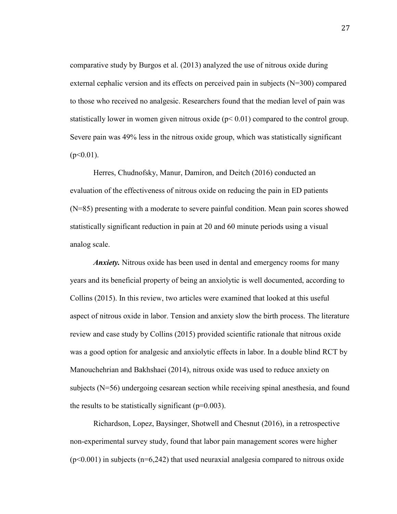comparative study by Burgos et al. (2013) analyzed the use of nitrous oxide during external cephalic version and its effects on perceived pain in subjects (N=300) compared to those who received no analgesic. Researchers found that the median level of pain was statistically lower in women given nitrous oxide  $(p< 0.01)$  compared to the control group. Severe pain was 49% less in the nitrous oxide group, which was statistically significant  $(p<0.01)$ .

Herres, Chudnofsky, Manur, Damiron, and Deitch (2016) conducted an evaluation of the effectiveness of nitrous oxide on reducing the pain in ED patients (N=85) presenting with a moderate to severe painful condition. Mean pain scores showed statistically significant reduction in pain at 20 and 60 minute periods using a visual analog scale.

*Anxiety.* Nitrous oxide has been used in dental and emergency rooms for many years and its beneficial property of being an anxiolytic is well documented, according to Collins (2015). In this review, two articles were examined that looked at this useful aspect of nitrous oxide in labor. Tension and anxiety slow the birth process. The literature review and case study by Collins (2015) provided scientific rationale that nitrous oxide was a good option for analgesic and anxiolytic effects in labor. In a double blind RCT by Manouchehrian and Bakhshaei (2014), nitrous oxide was used to reduce anxiety on subjects (N=56) undergoing cesarean section while receiving spinal anesthesia, and found the results to be statistically significant ( $p=0.003$ ).

Richardson, Lopez, Baysinger, Shotwell and Chesnut (2016), in a retrospective non-experimental survey study, found that labor pain management scores were higher  $(p<0.001)$  in subjects ( $n=6,242$ ) that used neuraxial analgesia compared to nitrous oxide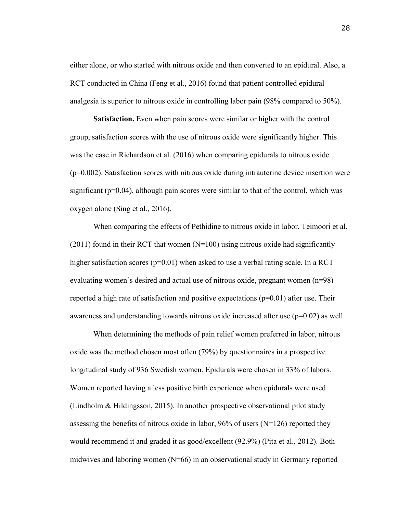either alone, or who started with nitrous oxide and then converted to an epidural. Also, a RCT conducted in China (Feng et al., 2016) found that patient controlled epidural analgesia is superior to nitrous oxide in controlling labor pain (98% compared to 50%).

**Satisfaction.** Even when pain scores were similar or higher with the control group, satisfaction scores with the use of nitrous oxide were significantly higher. This was the case in Richardson et al. (2016) when comparing epidurals to nitrous oxide  $(p=0.002)$ . Satisfaction scores with nitrous oxide during intrauterine device insertion were significant (p=0.04), although pain scores were similar to that of the control, which was oxygen alone (Sing et al., 2016).

When comparing the effects of Pethidine to nitrous oxide in labor, Teimoori et al.  $(2011)$  found in their RCT that women  $(N=100)$  using nitrous oxide had significantly higher satisfaction scores ( $p=0.01$ ) when asked to use a verbal rating scale. In a RCT evaluating women's desired and actual use of nitrous oxide, pregnant women (n=98) reported a high rate of satisfaction and positive expectations  $(p=0.01)$  after use. Their awareness and understanding towards nitrous oxide increased after use  $(p=0.02)$  as well.

When determining the methods of pain relief women preferred in labor, nitrous oxide was the method chosen most often (79%) by questionnaires in a prospective longitudinal study of 936 Swedish women. Epidurals were chosen in 33% of labors. Women reported having a less positive birth experience when epidurals were used (Lindholm & Hildingsson, 2015). In another prospective observational pilot study assessing the benefits of nitrous oxide in labor, 96% of users ( $N=126$ ) reported they would recommend it and graded it as good/excellent (92.9%) (Pita et al., 2012). Both midwives and laboring women  $(N=66)$  in an observational study in Germany reported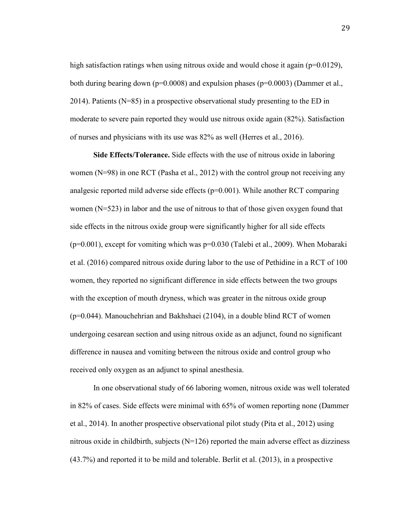high satisfaction ratings when using nitrous oxide and would chose it again ( $p=0.0129$ ), both during bearing down ( $p=0.0008$ ) and expulsion phases ( $p=0.0003$ ) (Dammer et al., 2014). Patients  $(N=85)$  in a prospective observational study presenting to the ED in moderate to severe pain reported they would use nitrous oxide again (82%). Satisfaction of nurses and physicians with its use was 82% as well (Herres et al., 2016).

**Side Effects/Tolerance.** Side effects with the use of nitrous oxide in laboring women (N=98) in one RCT (Pasha et al., 2012) with the control group not receiving any analgesic reported mild adverse side effects (p=0.001). While another RCT comparing women (N=523) in labor and the use of nitrous to that of those given oxygen found that side effects in the nitrous oxide group were significantly higher for all side effects  $(p=0.001)$ , except for vomiting which was  $p=0.030$  (Talebi et al., 2009). When Mobaraki et al. (2016) compared nitrous oxide during labor to the use of Pethidine in a RCT of 100 women, they reported no significant difference in side effects between the two groups with the exception of mouth dryness, which was greater in the nitrous oxide group (p=0.044). Manouchehrian and Bakhshaei (2104), in a double blind RCT of women undergoing cesarean section and using nitrous oxide as an adjunct, found no significant difference in nausea and vomiting between the nitrous oxide and control group who received only oxygen as an adjunct to spinal anesthesia.

In one observational study of 66 laboring women, nitrous oxide was well tolerated in 82% of cases. Side effects were minimal with 65% of women reporting none (Dammer et al., 2014). In another prospective observational pilot study (Pita et al., 2012) using nitrous oxide in childbirth, subjects  $(N=126)$  reported the main adverse effect as dizziness (43.7%) and reported it to be mild and tolerable. Berlit et al. (2013), in a prospective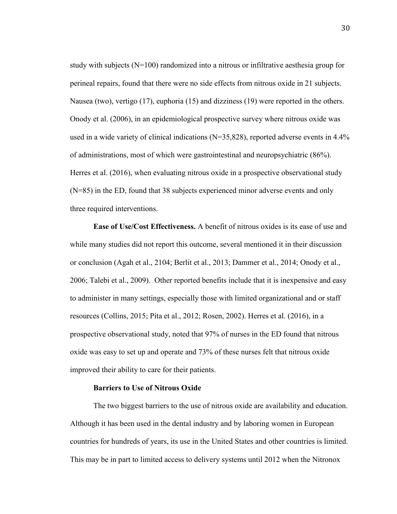study with subjects  $(N=100)$  randomized into a nitrous or infiltrative aesthesia group for perineal repairs, found that there were no side effects from nitrous oxide in 21 subjects. Nausea (two), vertigo (17), euphoria (15) and dizziness (19) were reported in the others. Onody et al. (2006), in an epidemiological prospective survey where nitrous oxide was used in a wide variety of clinical indications  $(N=35,828)$ , reported adverse events in 4.4% of administrations, most of which were gastrointestinal and neuropsychiatric (86%). Herres et al. (2016), when evaluating nitrous oxide in a prospective observational study (N=85) in the ED, found that 38 subjects experienced minor adverse events and only three required interventions.

**Ease of Use/Cost Effectiveness.** A benefit of nitrous oxides is its ease of use and while many studies did not report this outcome, several mentioned it in their discussion or conclusion (Agah et al., 2104; Berlit et al., 2013; Dammer et al., 2014; Onody et al., 2006; Talebi et al., 2009). Other reported benefits include that it is inexpensive and easy to administer in many settings, especially those with limited organizational and or staff resources (Collins, 2015; Pita et al., 2012; Rosen, 2002). Herres et al. (2016), in a prospective observational study, noted that 97% of nurses in the ED found that nitrous oxide was easy to set up and operate and 73% of these nurses felt that nitrous oxide improved their ability to care for their patients.

#### **Barriers to Use of Nitrous Oxide**

The two biggest barriers to the use of nitrous oxide are availability and education. Although it has been used in the dental industry and by laboring women in European countries for hundreds of years, its use in the United States and other countries is limited. This may be in part to limited access to delivery systems until 2012 when the Nitronox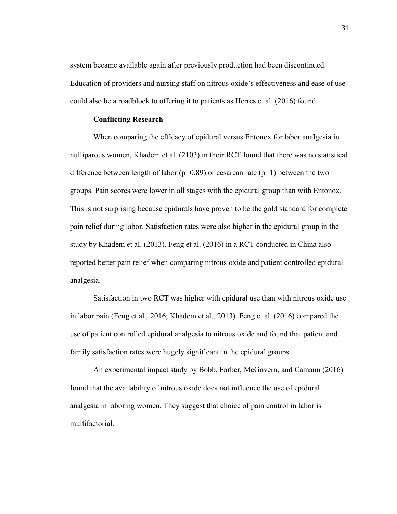system became available again after previously production had been discontinued. Education of providers and nursing staff on nitrous oxide's effectiveness and ease of use could also be a roadblock to offering it to patients as Herres et al. (2016) found.

#### **Conflicting Research**

When comparing the efficacy of epidural versus Entonox for labor analgesia in nulliparous women, Khadem et al. (2103) in their RCT found that there was no statistical difference between length of labor ( $p=0.89$ ) or cesarean rate ( $p=1$ ) between the two groups. Pain scores were lower in all stages with the epidural group than with Entonox. This is not surprising because epidurals have proven to be the gold standard for complete pain relief during labor. Satisfaction rates were also higher in the epidural group in the study by Khadem et al. (2013). Feng et al. (2016) in a RCT conducted in China also reported better pain relief when comparing nitrous oxide and patient controlled epidural analgesia.

Satisfaction in two RCT was higher with epidural use than with nitrous oxide use in labor pain (Feng et al., 2016; Khadem et al., 2013). Feng et al. (2016) compared the use of patient controlled epidural analgesia to nitrous oxide and found that patient and family satisfaction rates were hugely significant in the epidural groups.

An experimental impact study by Bobb, Farber, McGovern, and Camann (2016) found that the availability of nitrous oxide does not influence the use of epidural analgesia in laboring women. They suggest that choice of pain control in labor is multifactorial.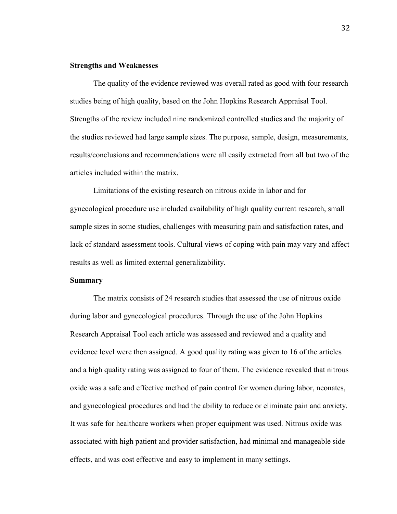#### **Strengths and Weaknesses**

The quality of the evidence reviewed was overall rated as good with four research studies being of high quality, based on the John Hopkins Research Appraisal Tool. Strengths of the review included nine randomized controlled studies and the majority of the studies reviewed had large sample sizes. The purpose, sample, design, measurements, results/conclusions and recommendations were all easily extracted from all but two of the articles included within the matrix.

Limitations of the existing research on nitrous oxide in labor and for gynecological procedure use included availability of high quality current research, small sample sizes in some studies, challenges with measuring pain and satisfaction rates, and lack of standard assessment tools. Cultural views of coping with pain may vary and affect results as well as limited external generalizability.

#### **Summary**

The matrix consists of 24 research studies that assessed the use of nitrous oxide during labor and gynecological procedures. Through the use of the John Hopkins Research Appraisal Tool each article was assessed and reviewed and a quality and evidence level were then assigned. A good quality rating was given to 16 of the articles and a high quality rating was assigned to four of them. The evidence revealed that nitrous oxide was a safe and effective method of pain control for women during labor, neonates, and gynecological procedures and had the ability to reduce or eliminate pain and anxiety. It was safe for healthcare workers when proper equipment was used. Nitrous oxide was associated with high patient and provider satisfaction, had minimal and manageable side effects, and was cost effective and easy to implement in many settings.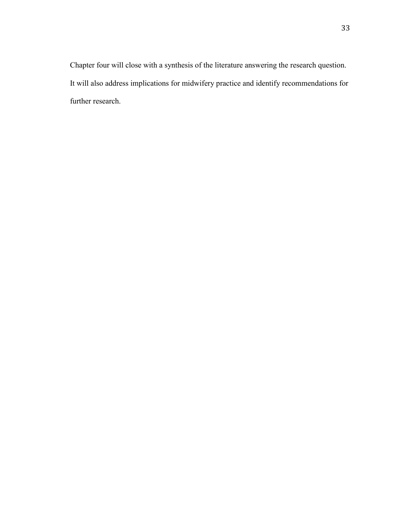Chapter four will close with a synthesis of the literature answering the research question. It will also address implications for midwifery practice and identify recommendations for further research.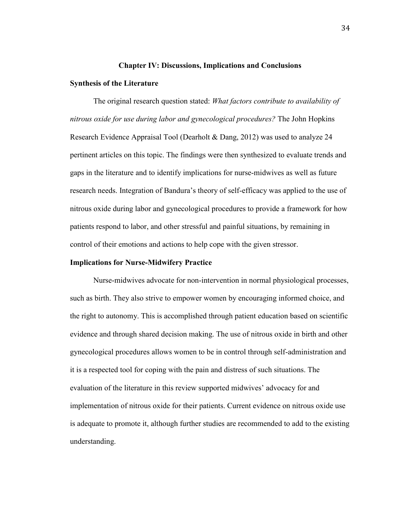#### **Chapter IV: Discussions, Implications and Conclusions**

#### **Synthesis of the Literature**

The original research question stated: *What factors contribute to availability of nitrous oxide for use during labor and gynecological procedures?* The John Hopkins Research Evidence Appraisal Tool (Dearholt & Dang, 2012) was used to analyze 24 pertinent articles on this topic. The findings were then synthesized to evaluate trends and gaps in the literature and to identify implications for nurse-midwives as well as future research needs. Integration of Bandura's theory of self-efficacy was applied to the use of nitrous oxide during labor and gynecological procedures to provide a framework for how patients respond to labor, and other stressful and painful situations, by remaining in control of their emotions and actions to help cope with the given stressor.

#### **Implications for Nurse-Midwifery Practice**

Nurse-midwives advocate for non-intervention in normal physiological processes, such as birth. They also strive to empower women by encouraging informed choice, and the right to autonomy. This is accomplished through patient education based on scientific evidence and through shared decision making. The use of nitrous oxide in birth and other gynecological procedures allows women to be in control through self-administration and it is a respected tool for coping with the pain and distress of such situations. The evaluation of the literature in this review supported midwives' advocacy for and implementation of nitrous oxide for their patients. Current evidence on nitrous oxide use is adequate to promote it, although further studies are recommended to add to the existing understanding.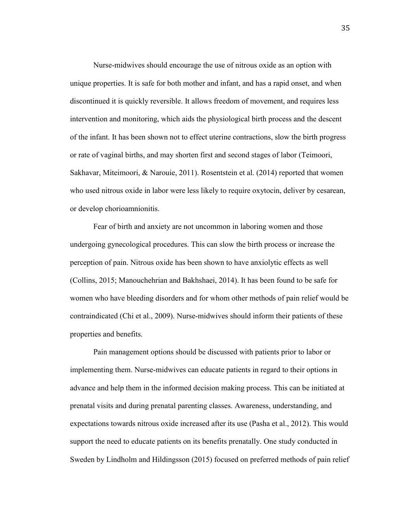Nurse-midwives should encourage the use of nitrous oxide as an option with unique properties. It is safe for both mother and infant, and has a rapid onset, and when discontinued it is quickly reversible. It allows freedom of movement, and requires less intervention and monitoring, which aids the physiological birth process and the descent of the infant. It has been shown not to effect uterine contractions, slow the birth progress or rate of vaginal births, and may shorten first and second stages of labor (Teimoori, Sakhavar, Miteimoori, & Narouie, 2011). Rosentstein et al. (2014) reported that women who used nitrous oxide in labor were less likely to require oxytocin, deliver by cesarean, or develop chorioamnionitis.

Fear of birth and anxiety are not uncommon in laboring women and those undergoing gynecological procedures. This can slow the birth process or increase the perception of pain. Nitrous oxide has been shown to have anxiolytic effects as well (Collins, 2015; Manouchehrian and Bakhshaei, 2014). It has been found to be safe for women who have bleeding disorders and for whom other methods of pain relief would be contraindicated (Chi et al., 2009). Nurse-midwives should inform their patients of these properties and benefits.

Pain management options should be discussed with patients prior to labor or implementing them. Nurse-midwives can educate patients in regard to their options in advance and help them in the informed decision making process. This can be initiated at prenatal visits and during prenatal parenting classes. Awareness, understanding, and expectations towards nitrous oxide increased after its use (Pasha et al., 2012). This would support the need to educate patients on its benefits prenatally. One study conducted in Sweden by Lindholm and Hildingsson (2015) focused on preferred methods of pain relief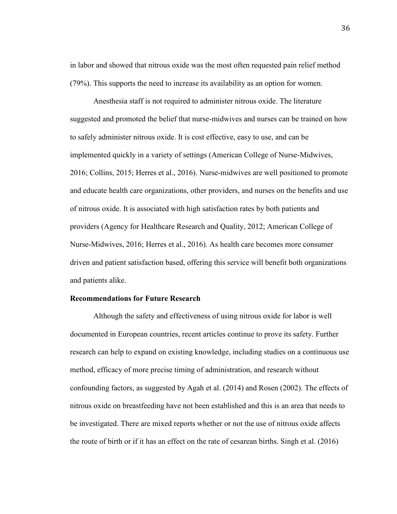in labor and showed that nitrous oxide was the most often requested pain relief method (79%). This supports the need to increase its availability as an option for women.

Anesthesia staff is not required to administer nitrous oxide. The literature suggested and promoted the belief that nurse-midwives and nurses can be trained on how to safely administer nitrous oxide. It is cost effective, easy to use, and can be implemented quickly in a variety of settings (American College of Nurse-Midwives, 2016; Collins, 2015; Herres et al., 2016). Nurse-midwives are well positioned to promote and educate health care organizations, other providers, and nurses on the benefits and use of nitrous oxide. It is associated with high satisfaction rates by both patients and providers (Agency for Healthcare Research and Quality, 2012; American College of Nurse-Midwives, 2016; Herres et al., 2016). As health care becomes more consumer driven and patient satisfaction based, offering this service will benefit both organizations and patients alike.

## **Recommendations for Future Research**

Although the safety and effectiveness of using nitrous oxide for labor is well documented in European countries, recent articles continue to prove its safety. Further research can help to expand on existing knowledge, including studies on a continuous use method, efficacy of more precise timing of administration, and research without confounding factors, as suggested by Agah et al. (2014) and Rosen (2002). The effects of nitrous oxide on breastfeeding have not been established and this is an area that needs to be investigated. There are mixed reports whether or not the use of nitrous oxide affects the route of birth or if it has an effect on the rate of cesarean births. Singh et al. (2016)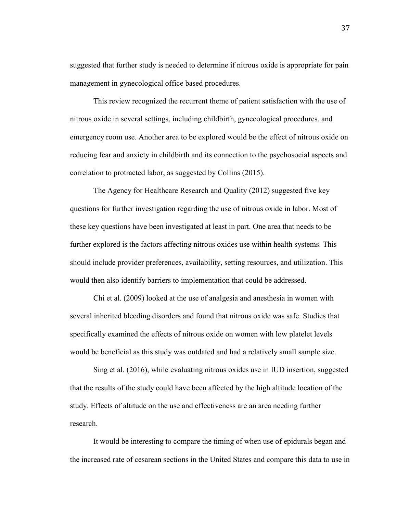suggested that further study is needed to determine if nitrous oxide is appropriate for pain management in gynecological office based procedures.

This review recognized the recurrent theme of patient satisfaction with the use of nitrous oxide in several settings, including childbirth, gynecological procedures, and emergency room use. Another area to be explored would be the effect of nitrous oxide on reducing fear and anxiety in childbirth and its connection to the psychosocial aspects and correlation to protracted labor, as suggested by Collins (2015).

The Agency for Healthcare Research and Quality (2012) suggested five key questions for further investigation regarding the use of nitrous oxide in labor. Most of these key questions have been investigated at least in part. One area that needs to be further explored is the factors affecting nitrous oxides use within health systems. This should include provider preferences, availability, setting resources, and utilization. This would then also identify barriers to implementation that could be addressed.

Chi et al. (2009) looked at the use of analgesia and anesthesia in women with several inherited bleeding disorders and found that nitrous oxide was safe. Studies that specifically examined the effects of nitrous oxide on women with low platelet levels would be beneficial as this study was outdated and had a relatively small sample size.

Sing et al. (2016), while evaluating nitrous oxides use in IUD insertion, suggested that the results of the study could have been affected by the high altitude location of the study. Effects of altitude on the use and effectiveness are an area needing further research.

It would be interesting to compare the timing of when use of epidurals began and the increased rate of cesarean sections in the United States and compare this data to use in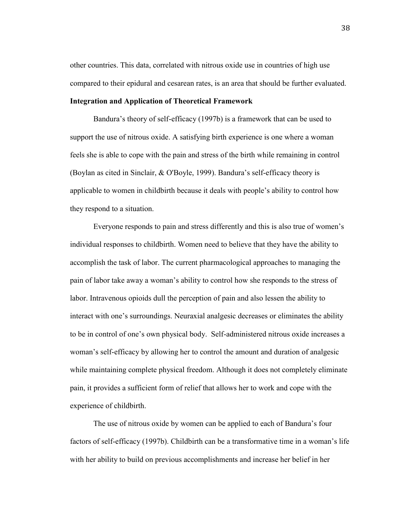other countries. This data, correlated with nitrous oxide use in countries of high use compared to their epidural and cesarean rates, is an area that should be further evaluated.

## **Integration and Application of Theoretical Framework**

Bandura's theory of self-efficacy (1997b) is a framework that can be used to support the use of nitrous oxide. A satisfying birth experience is one where a woman feels she is able to cope with the pain and stress of the birth while remaining in control (Boylan as cited in Sinclair, & O'Boyle, 1999). Bandura's self-efficacy theory is applicable to women in childbirth because it deals with people's ability to control how they respond to a situation.

Everyone responds to pain and stress differently and this is also true of women's individual responses to childbirth. Women need to believe that they have the ability to accomplish the task of labor. The current pharmacological approaches to managing the pain of labor take away a woman's ability to control how she responds to the stress of labor. Intravenous opioids dull the perception of pain and also lessen the ability to interact with one's surroundings. Neuraxial analgesic decreases or eliminates the ability to be in control of one's own physical body. Self-administered nitrous oxide increases a woman's self-efficacy by allowing her to control the amount and duration of analgesic while maintaining complete physical freedom. Although it does not completely eliminate pain, it provides a sufficient form of relief that allows her to work and cope with the experience of childbirth.

The use of nitrous oxide by women can be applied to each of Bandura's four factors of self-efficacy (1997b). Childbirth can be a transformative time in a woman's life with her ability to build on previous accomplishments and increase her belief in her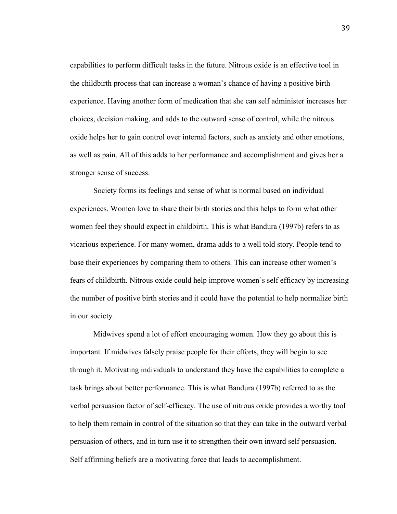capabilities to perform difficult tasks in the future. Nitrous oxide is an effective tool in the childbirth process that can increase a woman's chance of having a positive birth experience. Having another form of medication that she can self administer increases her choices, decision making, and adds to the outward sense of control, while the nitrous oxide helps her to gain control over internal factors, such as anxiety and other emotions, as well as pain. All of this adds to her performance and accomplishment and gives her a stronger sense of success.

Society forms its feelings and sense of what is normal based on individual experiences. Women love to share their birth stories and this helps to form what other women feel they should expect in childbirth. This is what Bandura (1997b) refers to as vicarious experience. For many women, drama adds to a well told story. People tend to base their experiences by comparing them to others. This can increase other women's fears of childbirth. Nitrous oxide could help improve women's self efficacy by increasing the number of positive birth stories and it could have the potential to help normalize birth in our society.

Midwives spend a lot of effort encouraging women. How they go about this is important. If midwives falsely praise people for their efforts, they will begin to see through it. Motivating individuals to understand they have the capabilities to complete a task brings about better performance. This is what Bandura (1997b) referred to as the verbal persuasion factor of self-efficacy. The use of nitrous oxide provides a worthy tool to help them remain in control of the situation so that they can take in the outward verbal persuasion of others, and in turn use it to strengthen their own inward self persuasion. Self affirming beliefs are a motivating force that leads to accomplishment.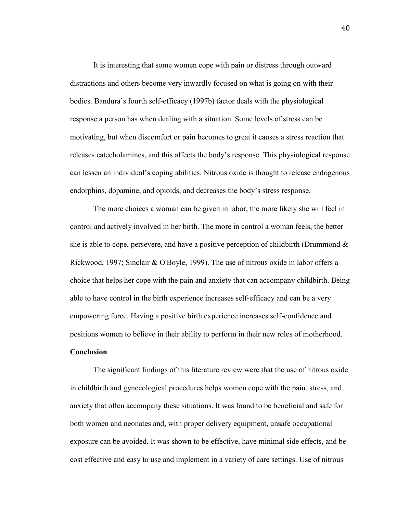It is interesting that some women cope with pain or distress through outward distractions and others become very inwardly focused on what is going on with their bodies. Bandura's fourth self-efficacy (1997b) factor deals with the physiological response a person has when dealing with a situation. Some levels of stress can be motivating, but when discomfort or pain becomes to great it causes a stress reaction that releases catecholamines, and this affects the body's response. This physiological response can lessen an individual's coping abilities. Nitrous oxide is thought to release endogenous endorphins, dopamine, and opioids, and decreases the body's stress response.

The more choices a woman can be given in labor, the more likely she will feel in control and actively involved in her birth. The more in control a woman feels, the better she is able to cope, persevere, and have a positive perception of childbirth (Drummond  $\&$ Rickwood, 1997; Sinclair & O'Boyle, 1999). The use of nitrous oxide in labor offers a choice that helps her cope with the pain and anxiety that can accompany childbirth. Being able to have control in the birth experience increases self-efficacy and can be a very empowering force. Having a positive birth experience increases self-confidence and positions women to believe in their ability to perform in their new roles of motherhood.

## **Conclusion**

The significant findings of this literature review were that the use of nitrous oxide in childbirth and gynecological procedures helps women cope with the pain, stress, and anxiety that often accompany these situations. It was found to be beneficial and safe for both women and neonates and, with proper delivery equipment, unsafe occupational exposure can be avoided. It was shown to be effective, have minimal side effects, and be cost effective and easy to use and implement in a variety of care settings. Use of nitrous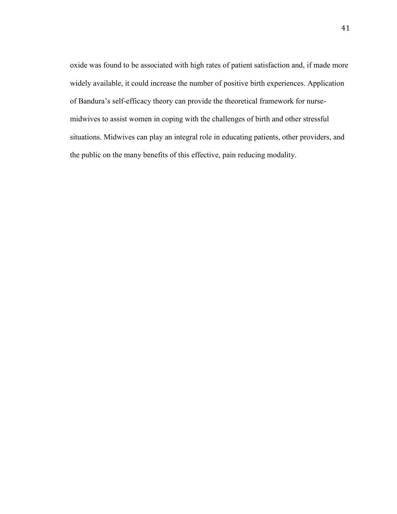oxide was found to be associated with high rates of patient satisfaction and, if made more widely available, it could increase the number of positive birth experiences. Application of Bandura's self-efficacy theory can provide the theoretical framework for nursemidwives to assist women in coping with the challenges of birth and other stressful situations. Midwives can play an integral role in educating patients, other providers, and the public on the many benefits of this effective, pain reducing modality.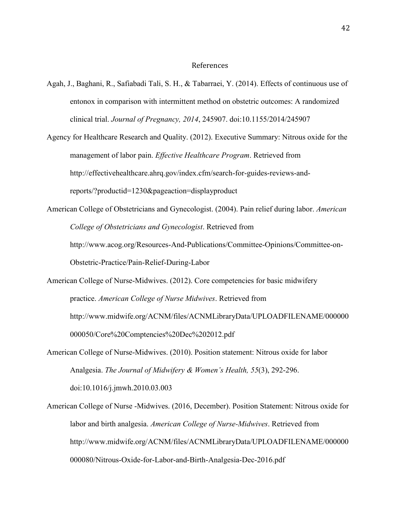## References

- Agah, J., Baghani, R., Safiabadi Tali, S. H., & Tabarraei, Y. (2014). Effects of continuous use of entonox in comparison with intermittent method on obstetric outcomes: A randomized clinical trial. *Journal of Pregnancy, 2014*, 245907. doi:10.1155/2014/245907
- Agency for Healthcare Research and Quality. (2012). Executive Summary: Nitrous oxide for the management of labor pain. *Effective Healthcare Program*. Retrieved from http://effectivehealthcare.ahrq.gov/index.cfm/search-for-guides-reviews-andreports/?productid=1230&pageaction=displayproduct
- American College of Obstetricians and Gynecologist. (2004). Pain relief during labor. *American College of Obstetricians and Gynecologist*. Retrieved from http://www.acog.org/Resources-And-Publications/Committee-Opinions/Committee-on-Obstetric-Practice/Pain-Relief-During-Labor
- American College of Nurse-Midwives. (2012). Core competencies for basic midwifery practice. *American College of Nurse Midwives*. Retrieved from http://www.midwife.org/ACNM/files/ACNMLibraryData/UPLOADFILENAME/000000 000050/Core%20Comptencies%20Dec%202012.pdf
- American College of Nurse-Midwives. (2010). Position statement: Nitrous oxide for labor Analgesia. *The Journal of Midwifery & Women's Health, 55*(3), 292-296. doi:10.1016/j.jmwh.2010.03.003
- American College of Nurse -Midwives. (2016, December). Position Statement: Nitrous oxide for labor and birth analgesia. *American College of Nurse-Midwives*. Retrieved from http://www.midwife.org/ACNM/files/ACNMLibraryData/UPLOADFILENAME/000000 000080/Nitrous-Oxide-for-Labor-and-Birth-Analgesia-Dec-2016.pdf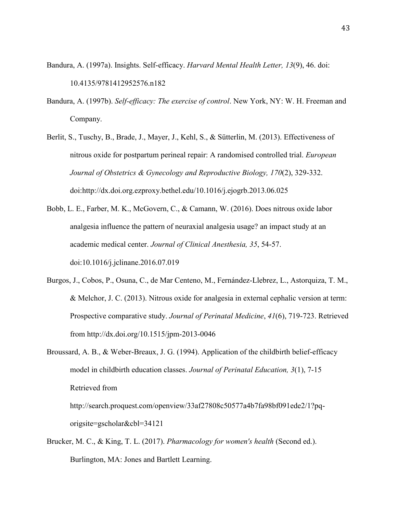- Bandura, A. (1997a). Insights. Self-efficacy. *Harvard Mental Health Letter, 13*(9), 46. doi: 10.4135/9781412952576.n182
- Bandura, A. (1997b). *Self-efficacy: The exercise of control*. New York, NY: W. H. Freeman and Company.
- Berlit, S., Tuschy, B., Brade, J., Mayer, J., Kehl, S., & Sütterlin, M. (2013). Effectiveness of nitrous oxide for postpartum perineal repair: A randomised controlled trial. *European Journal of Obstetrics & Gynecology and Reproductive Biology, 170*(2), 329-332. doi[:http://dx.doi.org.ezproxy.bethel.edu/10.1016/j.ejogrb.2013.06.025](http://dx.doi.org.ezproxy.bethel.edu/10.1016/j.ejogrb.2013.06.025)
- Bobb, L. E., Farber, M. K., McGovern, C., & Camann, W. (2016). Does nitrous oxide labor analgesia influence the pattern of neuraxial analgesia usage? an impact study at an academic medical center. *Journal of Clinical Anesthesia, 35*, 54-57. doi:10.1016/j.jclinane.2016.07.019
- Burgos, J., Cobos, P., Osuna, C., de Mar Centeno, M., Fernández-Llebrez, L., Astorquiza, T. M., & Melchor, J. C. (2013). Nitrous oxide for analgesia in external cephalic version at term: Prospective comparative study. *Journal of Perinatal Medicine*, *41*(6), 719-723. Retrieved from http://dx.doi.org/10.1515/jpm-2013-0046
- Broussard, A. B., & Weber-Breaux, J. G. (1994). Application of the childbirth belief-efficacy model in childbirth education classes. *Journal of Perinatal Education, 3*(1), 7-15 Retrieved from http://search.proquest.com/openview/33af27808c50577a4b7fa98bf091ede2/1?pq-

origsite=gscholar&cbl=34121

Brucker, M. C., & King, T. L. (2017). *Pharmacology for women's health* (Second ed.). Burlington, MA: Jones and Bartlett Learning.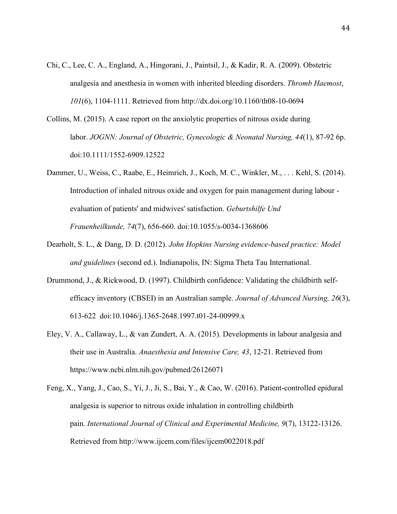- Chi, C., Lee, C. A., England, A., Hingorani, J., Paintsil, J., & Kadir, R. A. (2009). Obstetric analgesia and anesthesia in women with inherited bleeding disorders. *Thromb Haemost*, *101*(6), 1104-1111. Retrieved from http://dx.doi.org/10.1160/th08-10-0694
- Collins, M. (2015). A case report on the anxiolytic properties of nitrous oxide during labor. *JOGNN: Journal of Obstetric, Gynecologic & Neonatal Nursing, 44*(1), 87-92 6p. doi:10.1111/1552-6909.12522
- Dammer, U., Weiss, C., Raabe, E., Heimrich, J., Koch, M. C., Winkler, M., . . . Kehl, S. (2014). Introduction of inhaled nitrous oxide and oxygen for pain management during labour evaluation of patients' and midwives' satisfaction. *Geburtshilfe Und Frauenheilkunde, 74*(7), 656-660. doi:10.1055/s-0034-1368606
- Dearholt, S. L., & Dang, D. D. (2012). *John Hopkins Nursing evidence-based practice: Model and guidelines* (second ed.). Indianapolis, IN: Sigma Theta Tau International.
- Drummond, J., & Rickwood, D. (1997). Childbirth confidence: Validating the childbirth selfefficacy inventory (CBSEI) in an Australian sample. *Journal of Advanced Nursing, 26*(3), 613-622 doi:10.1046/j.1365-2648.1997.t01-24-00999.x
- Eley, V. A., Callaway, L., & van Zundert, A. A. (2015). Developments in labour analgesia and their use in Australia. *Anaesthesia and Intensive Care, 43*, 12-21. Retrieved from https://www.ncbi.nlm.nih.gov/pubmed/26126071
- Feng, X., Yang, J., Cao, S., Yi, J., Ji, S., Bai, Y., & Cao, W. (2016). Patient-controlled epidural analgesia is superior to nitrous oxide inhalation in controlling childbirth pain. *International Journal of Clinical and Experimental Medicine, 9*(7), 13122-13126. Retrieved from http://www.ijcem.com/files/ijcem0022018.pdf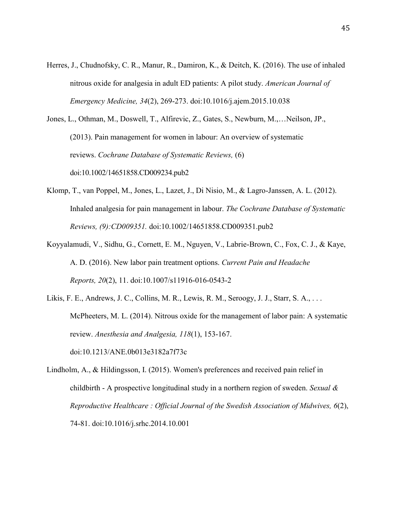Herres, J., Chudnofsky, C. R., Manur, R., Damiron, K., & Deitch, K. (2016). The use of inhaled nitrous oxide for analgesia in adult ED patients: A pilot study. *American Journal of Emergency Medicine, 34*(2), 269-273. doi:10.1016/j.ajem.2015.10.038

Jones, L., Othman, M., Doswell, T., Alfirevic, Z., Gates, S., Newburn, M.,…Neilson, JP., (2013). Pain management for women in labour: An overview of systematic reviews. *Cochrane Database of Systematic Reviews,* (6) doi:10.1002/14651858.CD009234.pub2

- Klomp, T., van Poppel, M., Jones, L., Lazet, J., Di Nisio, M., & Lagro-Janssen, A. L. (2012). Inhaled analgesia for pain management in labour. *The Cochrane Database of Systematic Reviews, (9):CD009351.* doi:10.1002/14651858.CD009351.pub2
- Koyyalamudi, V., Sidhu, G., Cornett, E. M., Nguyen, V., Labrie-Brown, C., Fox, C. J., & Kaye, A. D. (2016). New labor pain treatment options. *Current Pain and Headache Reports, 20*(2), 11. doi:10.1007/s11916-016-0543-2
- Likis, F. E., Andrews, J. C., Collins, M. R., Lewis, R. M., Seroogy, J. J., Starr, S. A., . . . McPheeters, M. L. (2014). Nitrous oxide for the management of labor pain: A systematic review. *Anesthesia and Analgesia, 118*(1), 153-167. doi:10.1213/ANE.0b013e3182a7f73c
- Lindholm, A., & Hildingsson, I. (2015). Women's preferences and received pain relief in childbirth - A prospective longitudinal study in a northern region of sweden. *Sexual & Reproductive Healthcare : Official Journal of the Swedish Association of Midwives, 6*(2), 74-81. doi:10.1016/j.srhc.2014.10.001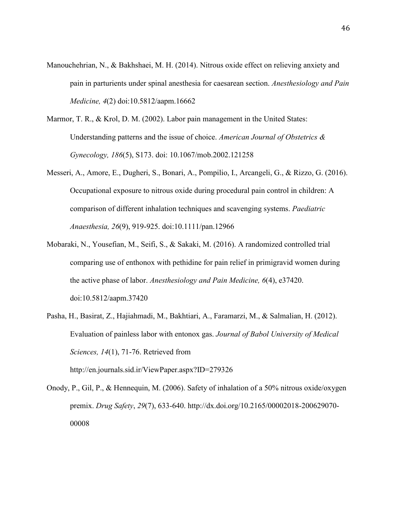- Manouchehrian, N., & Bakhshaei, M. H. (2014). Nitrous oxide effect on relieving anxiety and pain in parturients under spinal anesthesia for caesarean section. *Anesthesiology and Pain Medicine, 4*(2) doi:10.5812/aapm.16662
- Marmor, T. R., & Krol, D. M. (2002). Labor pain management in the United States: Understanding patterns and the issue of choice. *American Journal of Obstetrics & Gynecology, 186*(5), S173. doi: 10.1067/mob.2002.121258
- Messeri, A., Amore, E., Dugheri, S., Bonari, A., Pompilio, I., Arcangeli, G., & Rizzo, G. (2016). Occupational exposure to nitrous oxide during procedural pain control in children: A comparison of different inhalation techniques and scavenging systems. *Paediatric Anaesthesia, 26*(9), 919-925. doi:10.1111/pan.12966
- Mobaraki, N., Yousefian, M., Seifi, S., & Sakaki, M. (2016). A randomized controlled trial comparing use of enthonox with pethidine for pain relief in primigravid women during the active phase of labor. *Anesthesiology and Pain Medicine, 6*(4), e37420. doi:10.5812/aapm.37420
- Pasha, H., Basirat, Z., Hajiahmadi, M., Bakhtiari, A., Faramarzi, M., & Salmalian, H. (2012). Evaluation of painless labor with entonox gas. *Journal of Babol University of Medical Sciences, 14*(1), 71-76. Retrieved from http://en.journals.sid.ir/ViewPaper.aspx?ID=279326
- Onody, P., Gil, P., & Hennequin, M. (2006). Safety of inhalation of a 50% nitrous oxide/oxygen premix. *Drug Safety*, *29*(7), 633-640. http://dx.doi.org/10.2165/00002018-200629070- 00008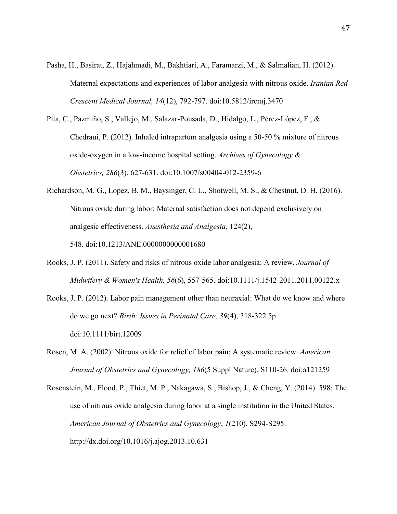- Pasha, H., Basirat, Z., Hajahmadi, M., Bakhtiari, A., Faramarzi, M., & Salmalian, H. (2012). Maternal expectations and experiences of labor analgesia with nitrous oxide. *Iranian Red Crescent Medical Journal, 14*(12), 792-797. doi:10.5812/ircmj.3470
- Pita, C., Pazmiño, S., Vallejo, M., Salazar-Pousada, D., Hidalgo, L., Pérez-López, F., & Chedraui, P. (2012). Inhaled intrapartum analgesia using a 50-50 % mixture of nitrous oxide-oxygen in a low-income hospital setting. *Archives of Gynecology & Obstetrics, 286*(3), 627-631. doi:10.1007/s00404-012-2359-6
- Richardson, M. G., Lopez, B. M., Baysinger, C. L., Shotwell, M. S., & Chestnut, D. H. (2016). Nitrous oxide during labor: Maternal satisfaction does not depend exclusively on analgesic effectiveness. *Anesthesia and Analgesia,* 124(2), 548. doi:10.1213/ANE.0000000000001680
- Rooks, J. P. (2011). Safety and risks of nitrous oxide labor analgesia: A review. *Journal of Midwifery & Women's Health, 56*(6), 557-565. doi:10.1111/j.1542-2011.2011.00122.x
- Rooks, J. P. (2012). Labor pain management other than neuraxial: What do we know and where do we go next? *Birth: Issues in Perinatal Care, 39*(4), 318-322 5p. doi:10.1111/birt.12009
- Rosen, M. A. (2002). Nitrous oxide for relief of labor pain: A systematic review. *American Journal of Obstetrics and Gynecology, 186*(5 Suppl Nature), S110-26. doi:a121259
- Rosenstein, M., Flood, P., Thiet, M. P., Nakagawa, S., Bishop, J., & Cheng, Y. (2014). 598: The use of nitrous oxide analgesia during labor at a single institution in the United States. *American Journal of Obstetrics and Gynecology*, *1*(210), S294-S295. http://dx.doi.org/10.1016/j.ajog.2013.10.631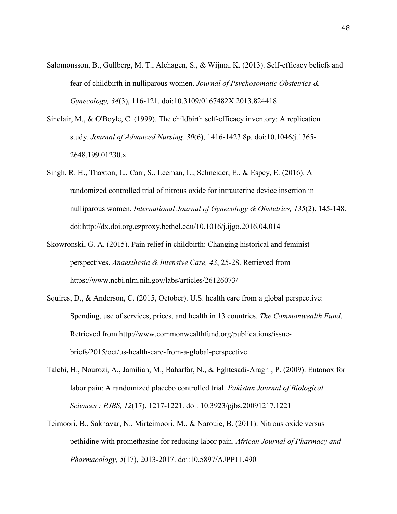- Salomonsson, B., Gullberg, M. T., Alehagen, S., & Wijma, K. (2013). Self-efficacy beliefs and fear of childbirth in nulliparous women. *Journal of Psychosomatic Obstetrics & Gynecology, 34*(3), 116-121. doi:10.3109/0167482X.2013.824418
- Sinclair, M., & O'Boyle, C. (1999). The childbirth self-efficacy inventory: A replication study. *Journal of Advanced Nursing, 30*(6), 1416-1423 8p. doi:10.1046/j.1365- 2648.199.01230.x
- Singh, R. H., Thaxton, L., Carr, S., Leeman, L., Schneider, E., & Espey, E. (2016). A randomized controlled trial of nitrous oxide for intrauterine device insertion in nulliparous women. *International Journal of Gynecology & Obstetrics, 135*(2), 145-148. doi[:http://dx.doi.org.ezproxy.bethel.edu/10.1016/j.ijgo.2016.04.014](http://dx.doi.org.ezproxy.bethel.edu/10.1016/j.ijgo.2016.04.014)
- Skowronski, G. A. (2015). Pain relief in childbirth: Changing historical and feminist perspectives. *Anaesthesia & Intensive Care, 43*, 25-28. Retrieved from https://www.ncbi.nlm.nih.gov/labs/articles/26126073/
- Squires, D., & Anderson, C. (2015, October). U.S. health care from a global perspective: Spending, use of services, prices, and health in 13 countries. *The Commonwealth Fund*. Retrieved from http://www.commonwealthfund.org/publications/issuebriefs/2015/oct/us-health-care-from-a-global-perspective
- Talebi, H., Nourozi, A., Jamilian, M., Baharfar, N., & Eghtesadi-Araghi, P. (2009). Entonox for labor pain: A randomized placebo controlled trial. *Pakistan Journal of Biological Sciences : PJBS, 12*(17), 1217-1221. doi: 10.3923/pjbs.20091217.1221
- Teimoori, B., Sakhavar, N., Mirteimoori, M., & Narouie, B. (2011). Nitrous oxide versus pethidine with promethasine for reducing labor pain. *African Journal of Pharmacy and Pharmacology, 5*(17), 2013-2017. doi:10.5897/AJPP11.490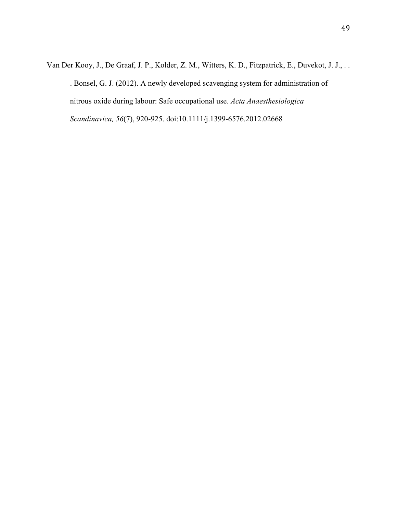Van Der Kooy, J., De Graaf, J. P., Kolder, Z. M., Witters, K. D., Fitzpatrick, E., Duvekot, J. J., . . . Bonsel, G. J. (2012). A newly developed scavenging system for administration of nitrous oxide during labour: Safe occupational use. *Acta Anaesthesiologica Scandinavica, 56*(7), 920-925. doi:10.1111/j.1399-6576.2012.02668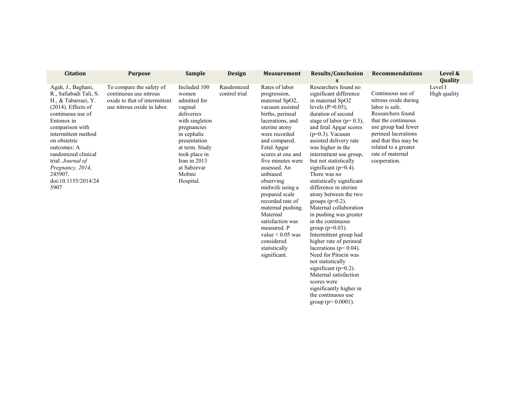| <b>Citation</b>                                                                                                                                                                                                                                                                                                    | <b>Purpose</b>                                                                                                     | <b>Sample</b>                                                                                                                                                                                                             | <b>Design</b>               | <b>Measurement</b>                                                                                                                                                                                                                                                                                                                                                                                                                                                    | <b>Results/Conclusion</b><br>S                                                                                                                                                                                                                                                                                                                                                                                                                                                                                                                                                                                                                                                                                                                                                                         | <b>Recommendations</b>                                                                                                                                                                                                                     | Level &<br>Quality      |
|--------------------------------------------------------------------------------------------------------------------------------------------------------------------------------------------------------------------------------------------------------------------------------------------------------------------|--------------------------------------------------------------------------------------------------------------------|---------------------------------------------------------------------------------------------------------------------------------------------------------------------------------------------------------------------------|-----------------------------|-----------------------------------------------------------------------------------------------------------------------------------------------------------------------------------------------------------------------------------------------------------------------------------------------------------------------------------------------------------------------------------------------------------------------------------------------------------------------|--------------------------------------------------------------------------------------------------------------------------------------------------------------------------------------------------------------------------------------------------------------------------------------------------------------------------------------------------------------------------------------------------------------------------------------------------------------------------------------------------------------------------------------------------------------------------------------------------------------------------------------------------------------------------------------------------------------------------------------------------------------------------------------------------------|--------------------------------------------------------------------------------------------------------------------------------------------------------------------------------------------------------------------------------------------|-------------------------|
| Agah, J., Baghani,<br>R., Safiabadi Tali, S.<br>H., & Tabarraei, Y.<br>$(2014)$ . Effects of<br>continuous use of<br>Entonox in<br>comparison with<br>intermittent method<br>on obstetric<br>outcomes: A<br>randomized clinical<br>trial. Journal of<br>Pregnancy, 2014,<br>245907.<br>doi:10.1155/2014/24<br>5907 | To compare the safety of<br>continuous use nitrous<br>oxide to that of intermittent<br>use nitrous oxide in labor. | Included 100<br>women<br>admitted for<br>vaginal<br>deliveries<br>with singleton<br>pregnancies<br>in cephalic<br>presentation<br>at term. Study<br>took place in<br>Iran in $2013$<br>at Sabzevar<br>Mobini<br>Hospital. | Randomized<br>control trial | Rates of labor<br>progression,<br>maternal SpO2,<br>vacuum assisted<br>births, perineal<br>lacerations, and<br>uterine atony<br>were recorded<br>and compared.<br>Fetal Apgar<br>scores at one and<br>five minutes were<br>assessed. An<br>unbiased<br>observing<br>midwife using a<br>prepared scale<br>recorded rate of<br>maternal pushing.<br>Maternal<br>satisfaction was<br>measured. P<br>value $\leq 0.05$ was<br>considered<br>statistically<br>significant. | Researchers found no<br>significant difference<br>in maternal SpO2<br>levels $(P>0.05)$ ,<br>duration of second<br>stage of labor ( $p=0.3$ ),<br>and fetal Apgar scores<br>$(p=0.3)$ . Vacuum<br>assisted delivery rate<br>was higher in the<br>intermittent use group,<br>but not statistically<br>significant ( $p=0.4$ ).<br>There was no<br>statistically significant<br>difference in uterine<br>atony between the two<br>groups $(p=0.2)$ .<br>Maternal collaboration<br>in pushing was greater<br>in the continuous<br>group ( $p=0.03$ ).<br>Intermittent group had<br>higher rate of perineal<br>lacerations ( $p=0.04$ ).<br>Need for Pitocin was<br>not statistically<br>significant ( $p=0.2$ ).<br>Maternal satisfaction<br>scores were<br>significantly higher in<br>the continuous use | Continuous use of<br>nitrous oxide during<br>labor is safe.<br>Researchers found<br>that the continuous<br>use group had fewer<br>perineal lacerations<br>and that this may be<br>related to a greater<br>rate of maternal<br>cooperation. | Level I<br>High quality |

group (p= 0.0001).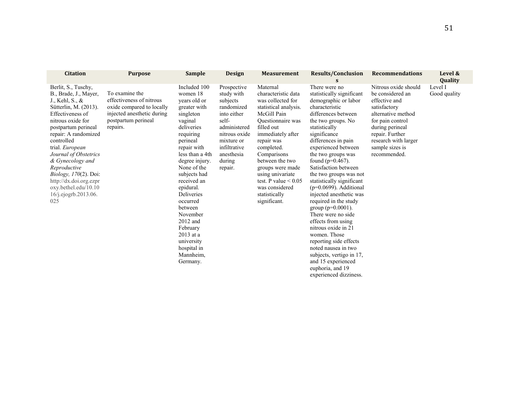| <b>Citation</b>                                                                                                                                                                                                                                                                                                                                                                                     | <b>Purpose</b>                                                                                                                           | <b>Sample</b>                                                                                                                                                                                                                                                                                                                                                                               | <b>Design</b>                                                                                                                                                                 | <b>Measurement</b>                                                                                                                                                                                                                                                                                                                             | <b>Results/Conclusion</b><br>$\mathbf{s}$                                                                                                                                                                                                                                                                                                                                                                                                                                                                                                                                                                                                                          | <b>Recommendations</b>                                                                                                                                                                                               | Level &<br><b>Quality</b> |
|-----------------------------------------------------------------------------------------------------------------------------------------------------------------------------------------------------------------------------------------------------------------------------------------------------------------------------------------------------------------------------------------------------|------------------------------------------------------------------------------------------------------------------------------------------|---------------------------------------------------------------------------------------------------------------------------------------------------------------------------------------------------------------------------------------------------------------------------------------------------------------------------------------------------------------------------------------------|-------------------------------------------------------------------------------------------------------------------------------------------------------------------------------|------------------------------------------------------------------------------------------------------------------------------------------------------------------------------------------------------------------------------------------------------------------------------------------------------------------------------------------------|--------------------------------------------------------------------------------------------------------------------------------------------------------------------------------------------------------------------------------------------------------------------------------------------------------------------------------------------------------------------------------------------------------------------------------------------------------------------------------------------------------------------------------------------------------------------------------------------------------------------------------------------------------------------|----------------------------------------------------------------------------------------------------------------------------------------------------------------------------------------------------------------------|---------------------------|
| Berlit, S., Tuschy,<br>B., Brade, J., Mayer,<br>J., Kehl, S., $\&$<br>Sütterlin, M. (2013).<br>Effectiveness of<br>nitrous oxide for<br>postpartum perineal<br>repair: A randomized<br>controlled<br>trial. European<br>Journal of Obstetrics<br>& Gynecology and<br>Reproductive<br><i>Biology</i> , 170(2). Doi:<br>http://dx.doi.org.ezpr<br>oxy.bethel.edu/10.10<br>16/j.ejogrb.2013.06.<br>025 | To examine the<br>effectiveness of nitrous<br>oxide compared to locally<br>injected anesthetic during<br>postpartum perineal<br>repairs. | Included 100<br>women 18<br>years old or<br>greater with<br>singleton<br>vaginal<br>deliveries<br>requiring<br>perineal<br>repair with<br>less than a 4th<br>degree injury.<br>None of the<br>subjects had<br>received an<br>epidural.<br><b>Deliveries</b><br>occurred<br>between<br>November<br>2012 and<br>February<br>$2013$ at a<br>university<br>hospital in<br>Mannheim,<br>Germany. | Prospective<br>study with<br>subjects<br>randomized<br>into either<br>self-<br>administered<br>nitrous oxide<br>mixture or<br>infiltrative<br>anesthesia<br>during<br>repair. | Maternal<br>characteristic data<br>was collected for<br>statistical analysis.<br>McGill Pain<br><b>Ouestionnaire</b> was<br>filled out<br>immediately after<br>repair was<br>completed.<br>Comparisons<br>between the two<br>groups were made<br>using univariate<br>test. P value $< 0.05$<br>was considered<br>statistically<br>significant. | There were no<br>statistically significant<br>demographic or labor<br>characteristic<br>differences between<br>the two groups. No<br>statistically<br>significance<br>differences in pain<br>experienced between<br>the two groups was<br>found ( $p=0.467$ ).<br>Satisfaction between<br>the two groups was not<br>statistically significant<br>$(p=0.0699)$ . Additional<br>injected anesthetic was<br>required in the study<br>group ( $p=0.0001$ ).<br>There were no side.<br>effects from using<br>nitrous oxide in 21<br>women. Those<br>reporting side effects<br>noted nausea in two<br>subjects, vertigo in 17,<br>and 15 experienced<br>euphoria, and 19 | Nitrous oxide should<br>be considered an<br>effective and<br>satisfactory<br>alternative method<br>for pain control<br>during perineal<br>repair. Further<br>research with larger<br>sample sizes is<br>recommended. | Level I<br>Good quality   |

experienced dizziness.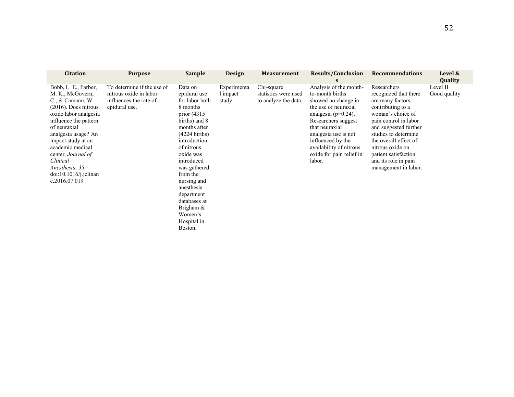| <b>Citation</b>                                                                                                                                                                                                                                                                                                                  | <b>Purpose</b>                                                                                  | <b>Sample</b>                                                                                                                                                                                                                                                                                                                         | <b>Design</b>                    | <b>Measurement</b>                                         | <b>Results/Conclusion</b><br>s                                                                                                                                                                                                                                             | <b>Recommendations</b>                                                                                                                                                                                                                                                                            | Level &<br><b>Quality</b> |
|----------------------------------------------------------------------------------------------------------------------------------------------------------------------------------------------------------------------------------------------------------------------------------------------------------------------------------|-------------------------------------------------------------------------------------------------|---------------------------------------------------------------------------------------------------------------------------------------------------------------------------------------------------------------------------------------------------------------------------------------------------------------------------------------|----------------------------------|------------------------------------------------------------|----------------------------------------------------------------------------------------------------------------------------------------------------------------------------------------------------------------------------------------------------------------------------|---------------------------------------------------------------------------------------------------------------------------------------------------------------------------------------------------------------------------------------------------------------------------------------------------|---------------------------|
| Bobb, L. E., Farber,<br>M. K., McGovern,<br>$C_{.}$ & Camann, W.<br>$(2016)$ . Does nitrous<br>oxide labor analgesia<br>influence the pattern<br>of neuraxial<br>analgesia usage? An<br>impact study at an<br>academic medical<br>center. Journal of<br>Clinical<br>Anesthesia, 35.<br>$doi:10.1016/j.$ jclinan<br>e.2016.07.019 | To determine if the use of<br>nitrous oxide in labor<br>influences the rate of<br>epidural use. | Data on<br>epidural use<br>for labor both<br>8 months<br>prior $(4315)$<br>births) and 8<br>months after<br>$(4224 \text{ births})$<br>introduction<br>of nitrous<br>oxide was<br>introduced<br>was gathered<br>from the<br>nursing and<br>anesthesia<br>department<br>databases at<br>Brigham &<br>Women's<br>Hospital in<br>Boston. | Experimenta<br>l impact<br>study | Chi-square<br>statistics were used<br>to analyze the data. | Analysis of the month-<br>to-month births<br>showed no change in<br>the use of neuraxial<br>analgesia ( $p=0.24$ ).<br>Researchers suggest<br>that neuraxial<br>analgesia use is not<br>influenced by the<br>availability of nitrous<br>oxide for pain relief in<br>labor. | Researchers<br>recognized that there<br>are many factors<br>contributing to a<br>woman's choice of<br>pain control in labor<br>and suggested further<br>studies to determine<br>the overall effect of<br>nitrous oxide on<br>patient satisfaction<br>and its role in pain<br>management in labor. | Level II<br>Good quality  |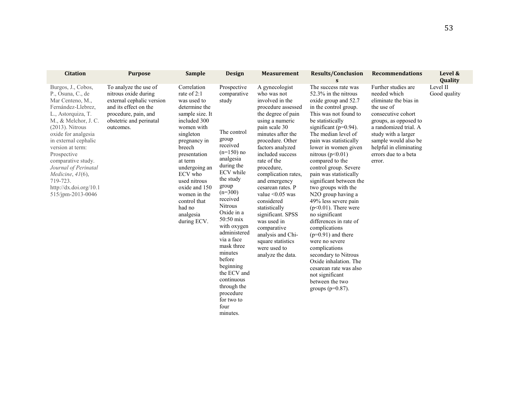| <b>Citation</b>                                                                                                                                                                                                                                                                                                                                                         | <b>Purpose</b>                                                                                                                                                      | Sample                                                                                                                                                                                                                                                                                                             | Design                                                                                                                                                                                                                                                                                                                                                                                                              | <b>Measurement</b>                                                                                                                                                                                                                                                                                                                                                                                                                                                                                    | <b>Results/Conclusion</b><br>S                                                                                                                                                                                                                                                                                                                                                                                                                                                                                                                                                                                                                                                                                                           | <b>Recommendations</b>                                                                                                                                                                                                                                        | Level &<br>Quality       |
|-------------------------------------------------------------------------------------------------------------------------------------------------------------------------------------------------------------------------------------------------------------------------------------------------------------------------------------------------------------------------|---------------------------------------------------------------------------------------------------------------------------------------------------------------------|--------------------------------------------------------------------------------------------------------------------------------------------------------------------------------------------------------------------------------------------------------------------------------------------------------------------|---------------------------------------------------------------------------------------------------------------------------------------------------------------------------------------------------------------------------------------------------------------------------------------------------------------------------------------------------------------------------------------------------------------------|-------------------------------------------------------------------------------------------------------------------------------------------------------------------------------------------------------------------------------------------------------------------------------------------------------------------------------------------------------------------------------------------------------------------------------------------------------------------------------------------------------|------------------------------------------------------------------------------------------------------------------------------------------------------------------------------------------------------------------------------------------------------------------------------------------------------------------------------------------------------------------------------------------------------------------------------------------------------------------------------------------------------------------------------------------------------------------------------------------------------------------------------------------------------------------------------------------------------------------------------------------|---------------------------------------------------------------------------------------------------------------------------------------------------------------------------------------------------------------------------------------------------------------|--------------------------|
| Burgos, J., Cobos,<br>P., Osuna, C., de<br>Mar Centeno, M.,<br>Fernández-Llebrez,<br>L., Astorquiza, T.<br>M., & Melchor, J. C.<br>$(2013)$ . Nitrous<br>oxide for analgesia<br>in external cephalic<br>version at term:<br>Prospective<br>comparative study.<br>Journal of Perinatal<br>Medicine, $41(6)$ ,<br>719-723.<br>http://dx.doi.org/10.1<br>515/jpm-2013-0046 | To analyze the use of<br>nitrous oxide during<br>external cephalic version<br>and its effect on the<br>procedure, pain, and<br>obstetric and perinatal<br>outcomes. | Correlation<br>rate of $2:1$<br>was used to<br>determine the<br>sample size. It<br>included 300<br>women with<br>singleton<br>pregnancy in<br>breech<br>presentation<br>at term<br>undergoing an<br>ECV who<br>used nitrous<br>oxide and 150<br>women in the<br>control that<br>had no<br>analgesia<br>during ECV. | Prospective<br>comparative<br>study<br>The control<br>group<br>received<br>$(n=150)$ no<br>analgesia<br>during the<br>ECV while<br>the study<br>group<br>$(n=300)$<br>received<br><b>Nitrous</b><br>Oxide in a<br>50:50 mix<br>with oxygen<br>administered<br>via a face<br>mask three<br>minutes<br>before<br>beginning<br>the ECV and<br>continuous<br>through the<br>procedure<br>for two to<br>four<br>minutes. | A gynecologist<br>who was not<br>involved in the<br>procedure assessed<br>the degree of pain<br>using a numeric<br>pain scale 30<br>minutes after the<br>procedure. Other<br>factors analyzed<br>included success<br>rate of the<br>procedure,<br>complication rates,<br>and emergency<br>cesarean rates. P<br>value $\leq 0.05$ was<br>considered<br>statistically<br>significant. SPSS<br>was used in<br>comparative<br>analysis and Chi-<br>square statistics<br>were used to<br>analyze the data. | The success rate was<br>52.3% in the nitrous<br>oxide group and 52.7<br>in the control group.<br>This was not found to<br>be statistically<br>significant ( $p=0.94$ ).<br>The median level of<br>pain was statistically<br>lower in women given<br>nitrous $(p<0.01)$<br>compared to the<br>control group. Severe<br>pain was statistically<br>significant between the<br>two groups with the<br>N2O group having a<br>49% less severe pain<br>$(p<0.01)$ . There were<br>no significant<br>differences in rate of<br>complications<br>$(p=0.91)$ and there<br>were no severe<br>complications<br>secondary to Nitrous<br>Oxide inhalation. The<br>cesarean rate was also<br>not significant<br>between the two<br>groups ( $p=0.87$ ). | Further studies are<br>needed which<br>eliminate the bias in<br>the use of<br>consecutive cohort<br>groups, as opposed to<br>a randomized trial. A<br>study with a larger<br>sample would also be<br>helpful in eliminating<br>errors due to a beta<br>error. | Level II<br>Good quality |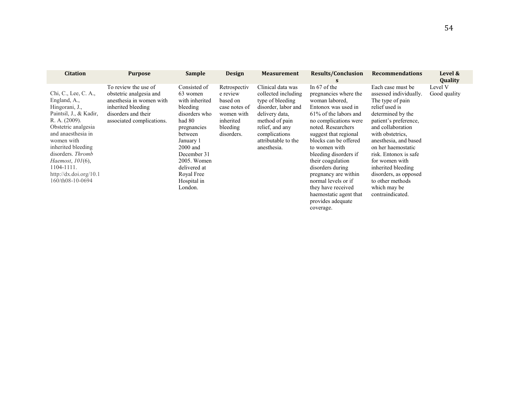| <b>Citation</b>                                                                                                                                                                                                                                                                                 | <b>Purpose</b>                                                                                                                                        | <b>Sample</b>                                                                                                                                                                                                                | <b>Design</b>                                                                                              | <b>Measurement</b>                                                                                                                                                                                | <b>Results/Conclusion</b><br>S                                                                                                                                                                                                                                                                                                                                                                                                 | <b>Recommendations</b>                                                                                                                                                                                                                                                                                                                                                    | Level &<br>Quality      |
|-------------------------------------------------------------------------------------------------------------------------------------------------------------------------------------------------------------------------------------------------------------------------------------------------|-------------------------------------------------------------------------------------------------------------------------------------------------------|------------------------------------------------------------------------------------------------------------------------------------------------------------------------------------------------------------------------------|------------------------------------------------------------------------------------------------------------|---------------------------------------------------------------------------------------------------------------------------------------------------------------------------------------------------|--------------------------------------------------------------------------------------------------------------------------------------------------------------------------------------------------------------------------------------------------------------------------------------------------------------------------------------------------------------------------------------------------------------------------------|---------------------------------------------------------------------------------------------------------------------------------------------------------------------------------------------------------------------------------------------------------------------------------------------------------------------------------------------------------------------------|-------------------------|
| Chi, C., Lee, C. A.,<br>England, A.,<br>Hingorani, J.,<br>Paintsil, J., & Kadir,<br>R. A. (2009).<br>Obstetric analgesia<br>and anaesthesia in<br>women with<br>inherited bleeding<br>disorders. Thromb<br><i>Haemost</i> , 101(6),<br>1104-1111.<br>http://dx.doi.org/10.1<br>160/th08-10-0694 | To review the use of<br>obstetric analgesia and<br>anesthesia in women with<br>inherited bleeding<br>disorders and their<br>associated complications. | Consisted of<br>63 women<br>with inherited<br>bleeding<br>disorders who<br>had 80<br>pregnancies<br>between<br>January 1<br>$2000$ and<br>December 31<br>2005. Women<br>delivered at<br>Royal Free<br>Hospital in<br>London. | Retrospectiv<br>e review<br>based on<br>case notes of<br>women with<br>inherited<br>bleeding<br>disorders. | Clinical data was<br>collected including<br>type of bleeding<br>disorder, labor and<br>delivery data.<br>method of pain<br>relief, and any<br>complications<br>attributable to the<br>anesthesia. | In $67$ of the<br>pregnancies where the<br>woman labored.<br>Entonox was used in<br>61% of the labors and<br>no complications were<br>noted. Researchers<br>suggest that regional<br>blocks can be offered<br>to women with<br>bleeding disorders if<br>their coagulation<br>disorders during<br>pregnancy are within<br>normal levels or if<br>they have received<br>haemostatic agent that<br>provides adequate<br>coverage. | Each case must be<br>assessed individually.<br>The type of pain<br>relief used is<br>determined by the<br>patient's preference,<br>and collaboration<br>with obstetrics.<br>anesthesia, and based<br>on her haemostatic<br>risk. Entonox is safe<br>for women with<br>inherited bleeding<br>disorders, as opposed<br>to other methods<br>which may be<br>contraindicated. | Level V<br>Good quality |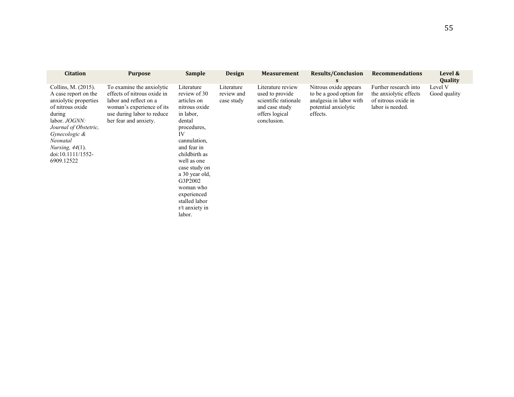| <b>Citation</b>                                                                                                                                                                                                                            | <b>Purpose</b>                                                                                                                                                         | <b>Sample</b>                                                                                                                                                                                                                                                                                | <b>Design</b>                          | <b>Measurement</b>                                                                                              | <b>Results/Conclusion</b><br>S                                                                                  | <b>Recommendations</b>                                                                     | Level &<br>Quality      |
|--------------------------------------------------------------------------------------------------------------------------------------------------------------------------------------------------------------------------------------------|------------------------------------------------------------------------------------------------------------------------------------------------------------------------|----------------------------------------------------------------------------------------------------------------------------------------------------------------------------------------------------------------------------------------------------------------------------------------------|----------------------------------------|-----------------------------------------------------------------------------------------------------------------|-----------------------------------------------------------------------------------------------------------------|--------------------------------------------------------------------------------------------|-------------------------|
| Collins, M. (2015).<br>A case report on the<br>anxiolytic properties<br>of nitrous oxide<br>during<br>labor. JOGNN:<br>Journal of Obstetric,<br>Gynecologic &<br>Neonatal<br><i>Nursing</i> , $44(1)$ .<br>doi:10.1111/1552-<br>6909.12522 | To examine the anxiolytic<br>effects of nitrous oxide in<br>labor and reflect on a<br>woman's experience of its<br>use during labor to reduce<br>her fear and anxiety. | Literature<br>review of 30<br>articles on<br>nitrous oxide<br>in labor,<br>dental<br>procedures,<br>IV<br>cannulation.<br>and fear in<br>childbirth as<br>well as one<br>case study on<br>a 30 year old,<br>G3P2002<br>woman who<br>experienced<br>stalled labor<br>r/t anxiety in<br>labor. | Literature<br>review and<br>case study | Literature review<br>used to provide<br>scientific rationale<br>and case study<br>offers logical<br>conclusion. | Nitrous oxide appears<br>to be a good option for<br>analgesia in labor with<br>potential anxiolytic<br>effects. | Further research into<br>the anxiolytic effects<br>of nitrous oxide in<br>labor is needed. | Level V<br>Good quality |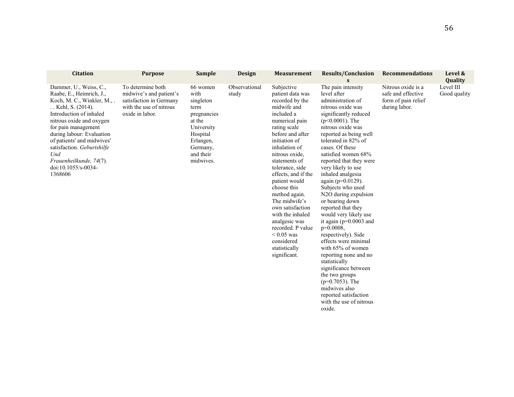| <b>Citation</b>                                                                                                                                                                                                                                                                                                                                 | <b>Purpose</b>                                                                                                        | <b>Sample</b>                                                                                                                               | <b>Design</b>          | <b>Measurement</b>                                                                                                                                                                                                                                                                                                                                                                                                                                                 | <b>Results/Conclusion</b><br>S.                                                                                                                                                                                                                                                                                                                                                                                                                                                                                                                                                                                                                                                                                                                                            | <b>Recommendations</b>                                                           | Level &<br>Quality        |
|-------------------------------------------------------------------------------------------------------------------------------------------------------------------------------------------------------------------------------------------------------------------------------------------------------------------------------------------------|-----------------------------------------------------------------------------------------------------------------------|---------------------------------------------------------------------------------------------------------------------------------------------|------------------------|--------------------------------------------------------------------------------------------------------------------------------------------------------------------------------------------------------------------------------------------------------------------------------------------------------------------------------------------------------------------------------------------------------------------------------------------------------------------|----------------------------------------------------------------------------------------------------------------------------------------------------------------------------------------------------------------------------------------------------------------------------------------------------------------------------------------------------------------------------------------------------------------------------------------------------------------------------------------------------------------------------------------------------------------------------------------------------------------------------------------------------------------------------------------------------------------------------------------------------------------------------|----------------------------------------------------------------------------------|---------------------------|
| Dammer, U., Weiss, C.,<br>Raabe, E., Heimrich, J.,<br>Koch, M. C., Winkler, M.,.<br>Kehl, S. (2014).<br>Introduction of inhaled<br>nitrous oxide and oxygen<br>for pain management<br>during labour: Evaluation<br>of patients' and midwives'<br>satisfaction. Geburtshilfe<br>Und<br>Frauenheilkunde, 74(7).<br>doi:10.1055/s-0034-<br>1368606 | To determine both<br>midwive's and patient's<br>satisfaction in Germany<br>with the use of nitrous<br>oxide in labor. | 66 women<br>with<br>singleton<br>term<br>pregnancies<br>at the<br>University<br>Hospital<br>Erlangen,<br>Germany,<br>and their<br>midwives. | Observational<br>study | Subjective<br>patient data was<br>recorded by the<br>midwife and<br>included a<br>numerical pain<br>rating scale<br>before and after<br>initiation of<br>inhalation of<br>nitrous oxide,<br>statements of<br>tolerance, side<br>effects, and if the<br>patient would<br>choose this<br>method again.<br>The midwife's<br>own satisfaction<br>with the inhaled<br>analgesic was<br>recorded. P value<br>$< 0.05$ was<br>considered<br>statistically<br>significant. | The pain intensity<br>level after<br>administration of<br>nitrous oxide was<br>significantly reduced<br>$(p<0.0001)$ . The<br>nitrous oxide was<br>reported as being well<br>tolerated in 82% of<br>cases. Of these<br>satisfied women 68%<br>reported that they were<br>very likely to use<br>inhaled analgesia<br>again (p=0.0129).<br>Subjects who used<br>N <sub>2</sub> O during expulsion<br>or bearing down<br>reported that they<br>would very likely use<br>it again ( $p=0.0003$ and<br>$p=0.0008,$<br>respectively). Side<br>effects were minimal<br>with 65% of women<br>reporting none and no<br>statistically<br>significance between<br>the two groups<br>$(p=0.7053)$ . The<br>midwives also<br>reported satisfaction<br>with the use of nitrous<br>oxide. | Nitrous oxide is a<br>safe and effective<br>form of pain relief<br>during labor. | Level III<br>Good quality |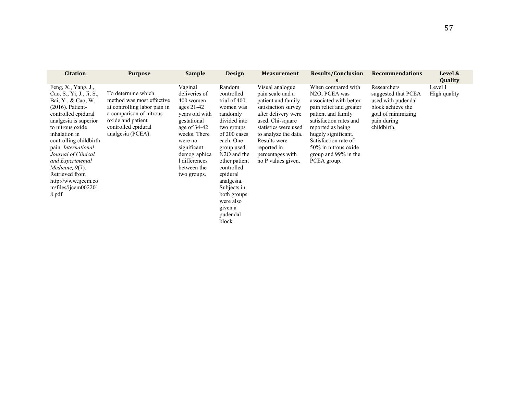| <b>Citation</b>                                                                                                                                                                                                                                                                                                                                                                 | <b>Purpose</b>                                                                                                                                                              | <b>Sample</b>                                                                                                                                                                                                   | <b>Design</b>                                                                                                                                                                                                                                                                                           | <b>Measurement</b>                                                                                                                                                                                                                                   | <b>Results/Conclusion</b><br>S                                                                                                                                                                                                                                                                       | <b>Recommendations</b>                                                                                                            | Level &<br>Quality      |
|---------------------------------------------------------------------------------------------------------------------------------------------------------------------------------------------------------------------------------------------------------------------------------------------------------------------------------------------------------------------------------|-----------------------------------------------------------------------------------------------------------------------------------------------------------------------------|-----------------------------------------------------------------------------------------------------------------------------------------------------------------------------------------------------------------|---------------------------------------------------------------------------------------------------------------------------------------------------------------------------------------------------------------------------------------------------------------------------------------------------------|------------------------------------------------------------------------------------------------------------------------------------------------------------------------------------------------------------------------------------------------------|------------------------------------------------------------------------------------------------------------------------------------------------------------------------------------------------------------------------------------------------------------------------------------------------------|-----------------------------------------------------------------------------------------------------------------------------------|-------------------------|
| Feng, $X_{.}$ , Yang, J.,<br>Cao, S., Yi, J., Ji, S.,<br>Bai, Y., & Cao, W.<br>$(2016)$ . Patient-<br>controlled epidural<br>analgesia is superior<br>to nitrous oxide<br>inhalation in<br>controlling childbirth<br>pain. International<br>Journal of Clinical<br>and Experimental<br>Medicine, 9(7).<br>Retrieved from<br>http://www.ijcem.co<br>m/files/ijcem002201<br>8.pdf | To determine which<br>method was most effective<br>at controlling labor pain in<br>a comparison of nitrous<br>oxide and patient<br>controlled epidural<br>analgesia (PCEA). | Vaginal<br>deliveries of<br>400 women<br>ages 21-42<br>years old with<br>gestational<br>age of $34-42$<br>weeks. There<br>were no<br>significant<br>demographica<br>l differences<br>between the<br>two groups. | Random<br>controlled<br>trial of 400<br>women was<br>randomly<br>divided into<br>two groups<br>of 200 cases<br>each. One<br>group used<br>N <sub>2</sub> O and the<br>other patient<br>controlled<br>epidural<br>analgesia.<br>Subjects in<br>both groups<br>were also<br>given a<br>pudendal<br>block. | Visual analogue<br>pain scale and a<br>patient and family<br>satisfaction survey<br>after delivery were<br>used. Chi-square<br>statistics were used<br>to analyze the data.<br>Results were<br>reported in<br>percentages with<br>no P values given. | When compared with<br>N <sub>2</sub> O <sub>, PCEA</sub> was<br>associated with better<br>pain relief and greater<br>patient and family<br>satisfaction rates and<br>reported as being<br>hugely significant.<br>Satisfaction rate of<br>50% in nitrous oxide<br>group and 99% in the<br>PCEA group. | Researchers<br>suggested that PCEA<br>used with pudendal<br>block achieve the<br>goal of minimizing<br>pain during<br>childbirth. | Level I<br>High quality |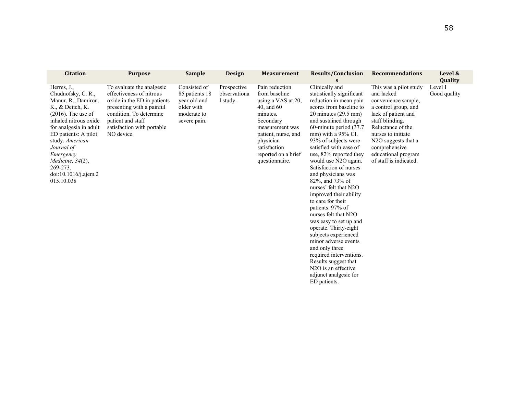| <b>Citation</b>                                                                                                                                                                                                                                                                                                | <b>Purpose</b>                                                                                                                                                                                                | <b>Sample</b>                                                                               | <b>Design</b>                           | <b>Measurement</b>                                                                                                                                                                                           | <b>Results/Conclusion</b><br>S                                                                                                                                                                                                                                                                                                                                                                                                                                                                                                                                                                                                                                                                                                                           | <b>Recommendations</b>                                                                                                                                                                                                                                                         | Level &<br><b>Quality</b> |
|----------------------------------------------------------------------------------------------------------------------------------------------------------------------------------------------------------------------------------------------------------------------------------------------------------------|---------------------------------------------------------------------------------------------------------------------------------------------------------------------------------------------------------------|---------------------------------------------------------------------------------------------|-----------------------------------------|--------------------------------------------------------------------------------------------------------------------------------------------------------------------------------------------------------------|----------------------------------------------------------------------------------------------------------------------------------------------------------------------------------------------------------------------------------------------------------------------------------------------------------------------------------------------------------------------------------------------------------------------------------------------------------------------------------------------------------------------------------------------------------------------------------------------------------------------------------------------------------------------------------------------------------------------------------------------------------|--------------------------------------------------------------------------------------------------------------------------------------------------------------------------------------------------------------------------------------------------------------------------------|---------------------------|
| Herres, $J_{\cdot}$ ,<br>Chudnofsky, C. R.,<br>Manur, R., Damiron,<br>K., & Deitch, K.<br>$(2016)$ . The use of<br>inhaled nitrous oxide<br>for analgesia in adult<br>ED patients: A pilot<br>study. American<br>Journal of<br>Emergency<br>Medicine, 34(2),<br>269-273.<br>doi:10.1016/j.ajem.2<br>015.10.038 | To evaluate the analgesic<br>effectiveness of nitrous<br>oxide in the ED in patients<br>presenting with a painful<br>condition. To determine<br>patient and staff<br>satisfaction with portable<br>NO device. | Consisted of<br>85 patients 18<br>year old and<br>older with<br>moderate to<br>severe pain. | Prospective<br>observationa<br>1 study. | Pain reduction<br>from baseline<br>using a VAS at 20,<br>40, and 60<br>minutes.<br>Secondary<br>measurement was<br>patient, nurse, and<br>physician<br>satisfaction<br>reported on a brief<br>questionnaire. | Clinically and<br>statistically significant<br>reduction in mean pain<br>scores from baseline to<br>$20$ minutes $(29.5$ mm)<br>and sustained through<br>60-minute period (37.7)<br>$mm)$ with a 95% CI.<br>93% of subjects were<br>satisfied with ease of<br>use, 82% reported they<br>would use N2O again.<br>Satisfaction of nurses<br>and physicians was<br>82%, and 73% of<br>nurses' felt that N2O<br>improved their ability<br>to care for their<br>patients. 97% of<br>nurses felt that N2O<br>was easy to set up and<br>operate. Thirty-eight<br>subjects experienced<br>minor adverse events<br>and only three<br>required interventions.<br>Results suggest that<br>N <sub>2</sub> O is an effective<br>adjunct analgesic for<br>ED patients. | This was a pilot study<br>and lacked<br>convenience sample,<br>a control group, and<br>lack of patient and<br>staff blinding.<br>Reluctance of the<br>nurses to initiate<br>N <sub>2</sub> O suggests that a<br>comprehensive<br>educational program<br>of staff is indicated. | Level I<br>Good quality   |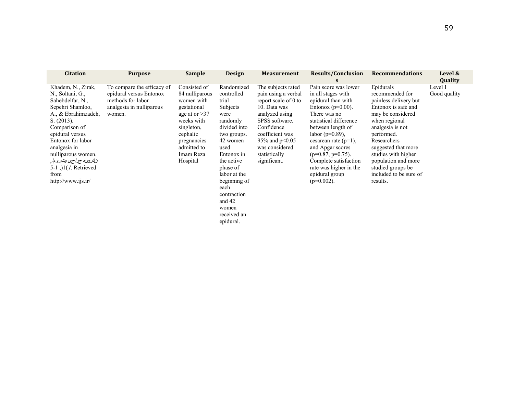| <b>Citation</b>                                                                                                                                                                                                                                                                                    | <b>Purpose</b>                                                                                                   | <b>Sample</b>                                                                                                                                                                 | <b>Design</b>                                                                                                                                                                                                                                           | <b>Measurement</b>                                                                                                                                                                                                            | <b>Results/Conclusion</b><br>S                                                                                                                                                                                                                                                                                                               | <b>Recommendations</b>                                                                                                                                                                                                                                                                              | Level &<br>Quality      |
|----------------------------------------------------------------------------------------------------------------------------------------------------------------------------------------------------------------------------------------------------------------------------------------------------|------------------------------------------------------------------------------------------------------------------|-------------------------------------------------------------------------------------------------------------------------------------------------------------------------------|---------------------------------------------------------------------------------------------------------------------------------------------------------------------------------------------------------------------------------------------------------|-------------------------------------------------------------------------------------------------------------------------------------------------------------------------------------------------------------------------------|----------------------------------------------------------------------------------------------------------------------------------------------------------------------------------------------------------------------------------------------------------------------------------------------------------------------------------------------|-----------------------------------------------------------------------------------------------------------------------------------------------------------------------------------------------------------------------------------------------------------------------------------------------------|-------------------------|
| Khadem, N., Zirak,<br>N., Soltani, G.,<br>Sahebdelfar, N.,<br>Sepehri Shamloo,<br>A., & Ebrahimzadeh,<br>S. (2013).<br>Comparison of<br>epidural versus<br>Entonox for labor<br>analgesia in<br>nulliparous women.<br>نشری مجراحی وت روم!,<br>5-1, $(1)$ . Retrieved<br>from<br>http://www.ijs.ir/ | To compare the efficacy of<br>epidural versus Entonox<br>methods for labor<br>analgesia in nulliparous<br>women. | Consisted of<br>84 nulliparous<br>women with<br>gestational<br>age at or $>37$<br>weeks with<br>singleton,<br>cephalic<br>pregnancies<br>admitted to<br>Imam Reza<br>Hospital | Randomized<br>controlled<br>trial<br>Subjects<br>were<br>randomly<br>divided into<br>two groups.<br>42 women<br>used<br>Entonox in<br>the active<br>phase of<br>labor at the<br>beginning of<br>each<br>contraction<br>and $42$<br>women<br>received an | The subjects rated<br>pain using a verbal<br>report scale of 0 to<br>10. Data was<br>analyzed using<br>SPSS software.<br>Confidence<br>coefficient was<br>95% and $p<0.05$<br>was considered<br>statistically<br>significant. | Pain score was lower<br>in all stages with<br>epidural than with<br>Entonox ( $p=0.00$ ).<br>There was no<br>statistical difference<br>between length of<br>labor ( $p=0.89$ ),<br>cesarean rate $(p=1)$ ,<br>and Apgar scores<br>$(p=0.87, p=0.75)$ .<br>Complete satisfaction<br>rate was higher in the<br>epidural group<br>$(p=0.002)$ . | Epidurals<br>recommended for<br>painless delivery but<br>Entonox is safe and<br>may be considered<br>when regional<br>analgesia is not<br>performed.<br>Researchers<br>suggested that more<br>studies with higher<br>population and more<br>studied groups be<br>included to be sure of<br>results. | Level I<br>Good quality |

epidural.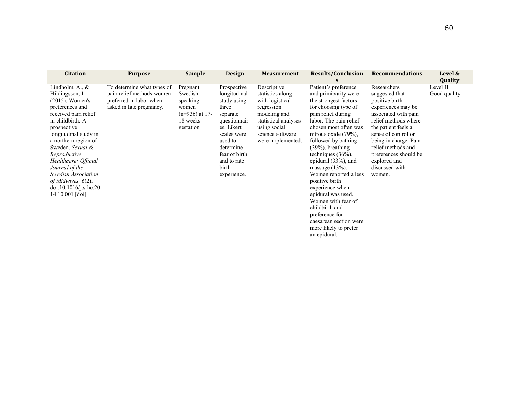| <b>Citation</b>                                                                                                                                                                                                                                                                                                                                                        | <b>Purpose</b>                                                                                                 | <b>Sample</b>                                                                         | <b>Design</b>                                                                                                                                                                                | <b>Measurement</b>                                                                                                                                                | <b>Results/Conclusion</b><br>S                                                                                                                                                                                                                                                                                                                                                                                                                                                                                                              | <b>Recommendations</b>                                                                                                                                                                                                                                                                  | Level &<br>Quality       |
|------------------------------------------------------------------------------------------------------------------------------------------------------------------------------------------------------------------------------------------------------------------------------------------------------------------------------------------------------------------------|----------------------------------------------------------------------------------------------------------------|---------------------------------------------------------------------------------------|----------------------------------------------------------------------------------------------------------------------------------------------------------------------------------------------|-------------------------------------------------------------------------------------------------------------------------------------------------------------------|---------------------------------------------------------------------------------------------------------------------------------------------------------------------------------------------------------------------------------------------------------------------------------------------------------------------------------------------------------------------------------------------------------------------------------------------------------------------------------------------------------------------------------------------|-----------------------------------------------------------------------------------------------------------------------------------------------------------------------------------------------------------------------------------------------------------------------------------------|--------------------------|
| Lindholm, A., $\&$<br>Hildingsson, I.<br>$(2015)$ . Women's<br>preferences and<br>received pain relief<br>in childbirth: A<br>prospective<br>longitudinal study in<br>a northern region of<br>Sweden. Sexual &<br>Reproductive<br>Healthcare: Official<br>Journal of the<br>Swedish Association<br>of Midwives, $6(2)$ .<br>doi:10.1016/j.srhc.20<br>$14.10.001$ [doi] | To determine what types of<br>pain relief methods women<br>preferred in labor when<br>asked in late pregnancy. | Pregnant<br>Swedish<br>speaking<br>women<br>$(n=936)$ at 17-<br>18 weeks<br>gestation | Prospective<br>longitudinal<br>study using<br>three<br>separate<br>questionnair<br>es. Likert<br>scales were<br>used to<br>determine<br>fear of birth<br>and to rate<br>birth<br>experience. | Descriptive<br>statistics along<br>with logistical<br>regression<br>modeling and<br>statistical analyses<br>using social<br>science software<br>were implemented. | Patient's preference<br>and primiparity were<br>the strongest factors<br>for choosing type of<br>pain relief during<br>labor. The pain relief<br>chosen most often was<br>nitrous oxide $(79\%)$ ,<br>followed by bathing<br>$(39\%)$ , breathing<br>techniques $(36\%)$ ,<br>epidural $(33\%)$ , and<br>massage $(13%)$ .<br>Women reported a less<br>positive birth<br>experience when<br>epidural was used.<br>Women with fear of<br>childbirth and<br>preference for<br>caesarean section were<br>more likely to prefer<br>an epidural. | Researchers<br>suggested that<br>positive birth<br>experiences may be<br>associated with pain<br>relief methods where<br>the patient feels a<br>sense of control or<br>being in charge. Pain<br>relief methods and<br>preferences should be<br>explored and<br>discussed with<br>women. | Level II<br>Good quality |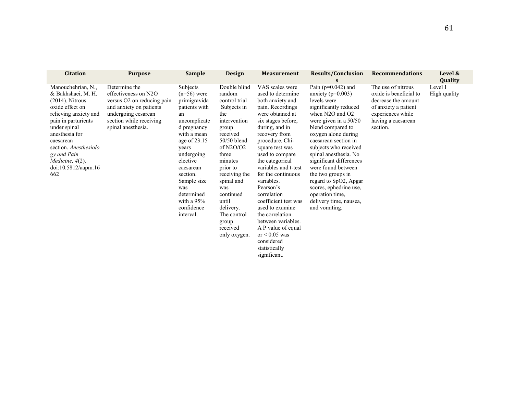| <b>Citation</b>                                                                                                                                                                                                                                                              | <b>Purpose</b>                                                                                                                                                         | <b>Sample</b>                                                                                                                                                                                                                                                               | <b>Design</b>                                                                                                                                                                                                                                                                                   | <b>Measurement</b>                                                                                                                                                                                                                                                                                                                                                                                                                                                                                           | <b>Results/Conclusion</b>                                                                                                                                                                                                                                                                                                                                                                                                                              | <b>Recommendations</b>                                                                                                                             | Level &<br>Quality      |
|------------------------------------------------------------------------------------------------------------------------------------------------------------------------------------------------------------------------------------------------------------------------------|------------------------------------------------------------------------------------------------------------------------------------------------------------------------|-----------------------------------------------------------------------------------------------------------------------------------------------------------------------------------------------------------------------------------------------------------------------------|-------------------------------------------------------------------------------------------------------------------------------------------------------------------------------------------------------------------------------------------------------------------------------------------------|--------------------------------------------------------------------------------------------------------------------------------------------------------------------------------------------------------------------------------------------------------------------------------------------------------------------------------------------------------------------------------------------------------------------------------------------------------------------------------------------------------------|--------------------------------------------------------------------------------------------------------------------------------------------------------------------------------------------------------------------------------------------------------------------------------------------------------------------------------------------------------------------------------------------------------------------------------------------------------|----------------------------------------------------------------------------------------------------------------------------------------------------|-------------------------|
| Manouchehrian, N.,<br>& Bakhshaei, M. H.<br>$(2014)$ . Nitrous<br>oxide effect on<br>relieving anxiety and<br>pain in parturients<br>under spinal<br>anesthesia for<br>caesarean<br>section. Anesthesiolo<br>gy and Pain<br>Medicine, $4(2)$ .<br>doi:10.5812/aapm.16<br>662 | Determine the<br>effectiveness on N2O<br>versus O2 on reducing pain<br>and anxiety on patients<br>undergoing cesarean<br>section while receiving<br>spinal anesthesia. | Subjects<br>$(n=56)$ were<br>primigravida<br>patients with<br>an<br>uncomplicate<br>d pregnancy<br>with a mean<br>age of $23.15$<br>vears<br>undergoing<br>elective<br>caesarean<br>section.<br>Sample size<br>was<br>determined<br>with a $95%$<br>confidence<br>interval. | Double blind<br>random<br>control trial<br>Subjects in<br>the<br>intervention<br>group<br>received<br>$50/50$ blend<br>of $N2O/O2$<br>three<br>minutes<br>prior to<br>receiving the<br>spinal and<br>was<br>continued<br>until<br>delivery.<br>The control<br>group<br>received<br>only oxygen. | VAS scales were<br>used to determine<br>both anxiety and<br>pain. Recordings<br>were obtained at<br>six stages before,<br>during, and in<br>recovery from<br>procedure. Chi-<br>square test was<br>used to compare<br>the categorical<br>variables and t-test<br>for the continuous<br>variables.<br>Pearson's<br>correlation<br>coefficient test was<br>used to examine<br>the correlation<br>between variables.<br>A P value of equal<br>or $\leq 0.05$ was<br>considered<br>statistically<br>significant. | Pain ( $p=0.042$ ) and<br>anxiety ( $p=0.003$ )<br>levels were<br>significantly reduced<br>when $N2O$ and $O2$<br>were given in a $50/50$<br>blend compared to<br>oxygen alone during<br>caesarean section in<br>subjects who received<br>spinal anesthesia. No<br>significant differences<br>were found between<br>the two groups in<br>regard to SpO2, Apgar<br>scores, ephedrine use,<br>operation time,<br>delivery time, nausea,<br>and vomiting. | The use of nitrous<br>oxide is beneficial to<br>decrease the amount<br>of anxiety a patient<br>experiences while<br>having a caesarean<br>section. | Level I<br>High quality |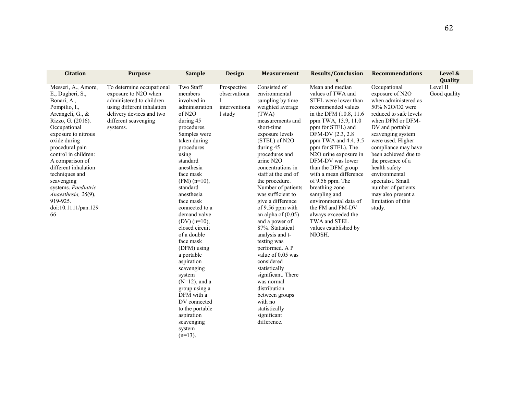| <b>Citation</b>                                                                                                                                                                                                                                                                                                                                                                      | <b>Purpose</b>                                                                                                                                                              | <b>Sample</b>                                                                                                                                                                                                                                                                                                                                                                                                                                                                                                                                                     | <b>Design</b>                                           | <b>Measurement</b>                                                                                                                                                                                                                                                                                                                                                                                                                                                                                                                                                                                                                                         | <b>Results/Conclusion</b><br>S                                                                                                                                                                                                                                                                                                                                                                                                                                                                         | <b>Recommendations</b>                                                                                                                                                                                                                                                                                                                                                                       | Level &<br>Quality       |
|--------------------------------------------------------------------------------------------------------------------------------------------------------------------------------------------------------------------------------------------------------------------------------------------------------------------------------------------------------------------------------------|-----------------------------------------------------------------------------------------------------------------------------------------------------------------------------|-------------------------------------------------------------------------------------------------------------------------------------------------------------------------------------------------------------------------------------------------------------------------------------------------------------------------------------------------------------------------------------------------------------------------------------------------------------------------------------------------------------------------------------------------------------------|---------------------------------------------------------|------------------------------------------------------------------------------------------------------------------------------------------------------------------------------------------------------------------------------------------------------------------------------------------------------------------------------------------------------------------------------------------------------------------------------------------------------------------------------------------------------------------------------------------------------------------------------------------------------------------------------------------------------------|--------------------------------------------------------------------------------------------------------------------------------------------------------------------------------------------------------------------------------------------------------------------------------------------------------------------------------------------------------------------------------------------------------------------------------------------------------------------------------------------------------|----------------------------------------------------------------------------------------------------------------------------------------------------------------------------------------------------------------------------------------------------------------------------------------------------------------------------------------------------------------------------------------------|--------------------------|
| Messeri, A., Amore,<br>E., Dugheri, S.,<br>Bonari, A.,<br>Pompilio, I.,<br>Arcangeli, G., &<br>Rizzo, G. (2016).<br>Occupational<br>exposure to nitrous<br>oxide during<br>procedural pain<br>control in children:<br>A comparison of<br>different inhalation<br>techniques and<br>scavenging<br>systems. Paediatric<br>Anaesthesia, 26(9),<br>919-925.<br>doi:10.1111/pan.129<br>66 | To determine occupational<br>exposure to N2O when<br>administered to children<br>using different inhalation<br>delivery devices and two<br>different scavenging<br>systems. | Two Staff<br>members<br>involved in<br>administration<br>of N2O<br>during 45<br>procedures.<br>Samples were<br>taken during<br>procedures<br>using<br>standard<br>anesthesia<br>face mask<br>$(FM)$ (n=10),<br>standard<br>anesthesia<br>face mask<br>connected to a<br>demand valve<br>$(DV)$ (n=10),<br>closed circuit<br>of a double<br>face mask<br>(DFM) using<br>a portable<br>aspiration<br>scavenging<br>system<br>$(N=12)$ , and a<br>group using a<br>DFM with a<br>DV connected<br>to the portable<br>aspiration<br>scavenging<br>system<br>$(n=13)$ . | Prospective<br>observationa<br>interventiona<br>1 study | Consisted of<br>environmental<br>sampling by time<br>weighted average<br>(TWA)<br>measurements and<br>short-time<br>exposure levels<br>$(STEL)$ of N2O<br>during 45<br>procedures and<br>urine N2O<br>concentrations in<br>staff at the end of<br>the procedure.<br>Number of patients<br>was sufficient to<br>give a difference<br>of 9.56 ppm with<br>an alpha of $(0.05)$<br>and a power of<br>87%. Statistical<br>analysis and t-<br>testing was<br>performed. A P<br>value of 0.05 was<br>considered<br>statistically<br>significant. There<br>was normal<br>distribution<br>between groups<br>with no<br>statistically<br>significant<br>difference. | Mean and median<br>values of TWA and<br>STEL were lower than<br>recommended values<br>in the DFM (10.8, 11.6)<br>ppm TWA, 13.9, 11.0<br>ppm for STEL) and<br>DFM-DV (2.3, 2.8)<br>ppm TWA and 4.4, 3.5<br>ppm for STEL). The<br>N2O urine exposure in<br>DFM-DV was lower<br>than the DFM group<br>with a mean difference<br>of 9.56 ppm. The<br>breathing zone<br>sampling and<br>environmental data of<br>the FM and FM-DV<br>always exceeded the<br>TWA and STEL<br>values established by<br>NIOSH. | Occupational<br>exposure of N2O<br>when administered as<br>50% N2O/O2 were<br>reduced to safe levels<br>when DFM or DFM-<br>DV and portable<br>scavenging system<br>were used. Higher<br>compliance may have<br>been achieved due to<br>the presence of a<br>health safety<br>environmental<br>specialist. Small<br>number of patients<br>may also present a<br>limitation of this<br>study. | Level II<br>Good quality |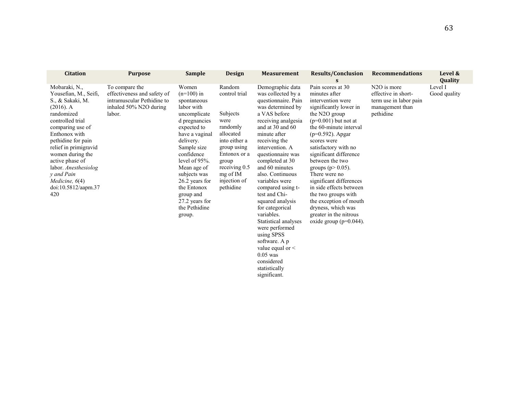| <b>Citation</b>                                                                                                                                                                                                                                                                                                                 | <b>Purpose</b>                                                                                                  | <b>Sample</b>                                                                                                                                                                                                                                                                                             | <b>Design</b>                                                                                                                                                                           | <b>Measurement</b>                                                                                                                                                                                                                                                                                                                                                                                                                                                                                                                                              | <b>Results/Conclusion</b><br>S                                                                                                                                                                                                                                                                                                                                                                                                                                                                    | <b>Recommendations</b>                                                                                    | Level &<br>Quality      |
|---------------------------------------------------------------------------------------------------------------------------------------------------------------------------------------------------------------------------------------------------------------------------------------------------------------------------------|-----------------------------------------------------------------------------------------------------------------|-----------------------------------------------------------------------------------------------------------------------------------------------------------------------------------------------------------------------------------------------------------------------------------------------------------|-----------------------------------------------------------------------------------------------------------------------------------------------------------------------------------------|-----------------------------------------------------------------------------------------------------------------------------------------------------------------------------------------------------------------------------------------------------------------------------------------------------------------------------------------------------------------------------------------------------------------------------------------------------------------------------------------------------------------------------------------------------------------|---------------------------------------------------------------------------------------------------------------------------------------------------------------------------------------------------------------------------------------------------------------------------------------------------------------------------------------------------------------------------------------------------------------------------------------------------------------------------------------------------|-----------------------------------------------------------------------------------------------------------|-------------------------|
| Mobaraki, N.,<br>Yousefian, M., Seifi,<br>S., & Sakaki, M.<br>$(2016)$ . A<br>randomized<br>controlled trial<br>comparing use of<br>Enthonox with<br>pethidine for pain<br>relief in primigravid<br>women during the<br>active phase of<br>labor. Anesthesiolog<br>v and Pain<br>Medicine, $6(4)$<br>doi:10.5812/aapm.37<br>420 | To compare the<br>effectiveness and safety of<br>intramuscular Pethidine to<br>inhaled 50% N2O during<br>labor. | Women<br>$(n=100)$ in<br>spontaneous<br>labor with<br>uncomplicate<br>d pregnancies<br>expected to<br>have a vaginal<br>delivery.<br>Sample size<br>confidence<br>level of 95%.<br>Mean age of<br>subjects was<br>26.2 years for<br>the Entonox<br>group and<br>27.2 years for<br>the Pethidine<br>group. | Random<br>control trial<br>Subjects<br>were<br>randomly<br>allocated<br>into either a<br>group using<br>Entonox or a<br>group<br>receiving 0.5<br>mg of IM<br>injection of<br>pethidine | Demographic data<br>was collected by a<br>questionnaire. Pain<br>was determined by<br>a VAS before<br>receiving analgesia<br>and at $30$ and $60$<br>minute after<br>receiving the<br>intervention. A<br>questionnaire was<br>completed at 30<br>and 60 minutes<br>also. Continuous<br>variables were<br>compared using t-<br>test and Chi-<br>squared analysis<br>for categorical<br>variables.<br>Statistical analyses<br>were performed<br>using SPSS<br>software. A p<br>value equal or $\leq$<br>$0.05$ was<br>considered<br>statistically<br>significant. | Pain scores at 30<br>minutes after<br>intervention were<br>significantly lower in<br>the N2O group<br>$(p=0.001)$ but not at<br>the 60-minute interval<br>$(p=0.592)$ . Apgar<br>scores were<br>satisfactory with no<br>significant difference<br>between the two<br>groups ( $p > 0.05$ ).<br>There were no<br>significant differences<br>in side effects between<br>the two groups with<br>the exception of mouth<br>dryness, which was<br>greater in the nitrous<br>oxide group ( $p=0.044$ ). | N <sub>2</sub> O is more<br>effective in short-<br>term use in labor pain<br>management than<br>pethidine | Level I<br>Good quality |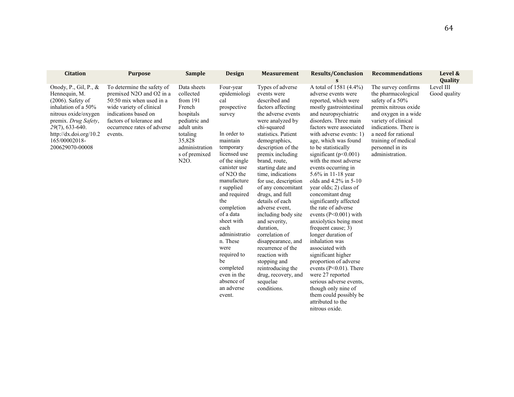| <b>Citation</b>                                                                                                                                                                                                              | <b>Purpose</b>                                                                                                                                                                                                 | <b>Sample</b>                                                                                                                                                  | Design                                                                                                                                                                                                                                                                                                                                                                                            | <b>Measurement</b>                                                                                                                                                                                                                                                                                                                                                                                                                                                                                                                                                                                          | <b>Results/Conclusion</b>                                                                                                                                                                                                                                                                                                                                                                                                                                                                                                                                                                                                                                                                                                                                                                                                                     | <b>Recommendations</b>                                                                                                                                                                                                                             | Level &                   |
|------------------------------------------------------------------------------------------------------------------------------------------------------------------------------------------------------------------------------|----------------------------------------------------------------------------------------------------------------------------------------------------------------------------------------------------------------|----------------------------------------------------------------------------------------------------------------------------------------------------------------|---------------------------------------------------------------------------------------------------------------------------------------------------------------------------------------------------------------------------------------------------------------------------------------------------------------------------------------------------------------------------------------------------|-------------------------------------------------------------------------------------------------------------------------------------------------------------------------------------------------------------------------------------------------------------------------------------------------------------------------------------------------------------------------------------------------------------------------------------------------------------------------------------------------------------------------------------------------------------------------------------------------------------|-----------------------------------------------------------------------------------------------------------------------------------------------------------------------------------------------------------------------------------------------------------------------------------------------------------------------------------------------------------------------------------------------------------------------------------------------------------------------------------------------------------------------------------------------------------------------------------------------------------------------------------------------------------------------------------------------------------------------------------------------------------------------------------------------------------------------------------------------|----------------------------------------------------------------------------------------------------------------------------------------------------------------------------------------------------------------------------------------------------|---------------------------|
|                                                                                                                                                                                                                              |                                                                                                                                                                                                                |                                                                                                                                                                |                                                                                                                                                                                                                                                                                                                                                                                                   |                                                                                                                                                                                                                                                                                                                                                                                                                                                                                                                                                                                                             | S                                                                                                                                                                                                                                                                                                                                                                                                                                                                                                                                                                                                                                                                                                                                                                                                                                             |                                                                                                                                                                                                                                                    | <b>Quality</b>            |
| Onody, P., Gil, P., $\&$<br>Hennequin, M.<br>$(2006)$ . Safety of<br>inhalation of a 50%<br>nitrous oxide/oxygen<br>premix. Drug Safety,<br>$29(7)$ , 633-640.<br>http://dx.doi.org/10.2<br>165/00002018-<br>200629070-00008 | To determine the safety of<br>premixed N2O and O2 in a<br>$50:50$ mix when used in a<br>wide variety of clinical<br>indications based on<br>factors of tolerance and<br>occurrence rates of adverse<br>events. | Data sheets<br>collected<br>from $191$<br>French<br>hospitals<br>pediatric and<br>adult units<br>totaling<br>35,828<br>administration<br>s of premixed<br>N2O. | Four-year<br>epidemiologi<br>cal<br>prospective<br>survey<br>In order to<br>maintain<br>temporary<br>licensed use<br>of the single<br>canister use<br>of N2O the<br>manufacture<br>r supplied<br>and required<br>the<br>completion<br>of a data<br>sheet with<br>each<br>administratio<br>n. These<br>were<br>required to<br>be<br>completed<br>even in the<br>absence of<br>an adverse<br>event. | Types of adverse<br>events were<br>described and<br>factors affecting<br>the adverse events<br>were analyzed by<br>chi-squared<br>statistics. Patient<br>demographics,<br>description of the<br>premix including<br>brand, route,<br>starting date and<br>time, indications<br>for use, description<br>of any concomitant<br>drugs, and full<br>details of each<br>adverse event.<br>including body site<br>and severity.<br>duration.<br>correlation of<br>disappearance, and<br>recurrence of the<br>reaction with<br>stopping and<br>reintroducing the<br>drug, recovery, and<br>sequelae<br>conditions. | A total of 1581 (4.4%)<br>adverse events were<br>reported, which were<br>mostly gastrointestinal<br>and neuropsychiatric<br>disorders. Three main<br>factors were associated<br>with adverse events: 1)<br>age, which was found<br>to be statistically<br>significant ( $p<0.001$ )<br>with the most adverse<br>events occurring in<br>5.6% in 11-18 year<br>olds and $4.2\%$ in 5-10<br>year olds; 2) class of<br>concomitant drug<br>significantly affected<br>the rate of adverse<br>events $(P<0.001)$ with<br>anxiolytics being most<br>frequent cause; 3)<br>longer duration of<br>inhalation was<br>associated with<br>significant higher<br>proportion of adverse<br>events $(P<0.01)$ . There<br>were 27 reported<br>serious adverse events.<br>though only nine of<br>them could possibly be<br>attributed to the<br>nitrous oxide. | The survey confirms<br>the pharmacological<br>safety of a 50%<br>premix nitrous oxide<br>and oxygen in a wide<br>variety of clinical<br>indications. There is<br>a need for rational<br>training of medical<br>personnel in its<br>administration. | Level III<br>Good quality |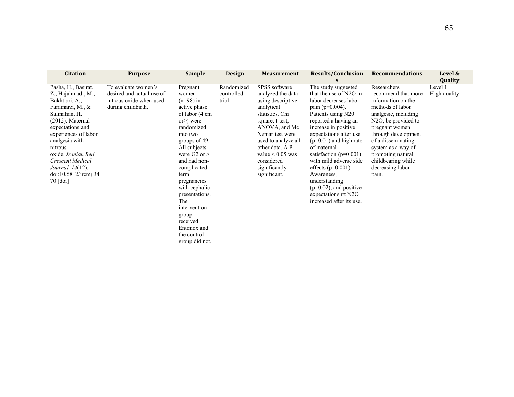| <b>Citation</b>                                                                                                                                                                                                                                                                                                   | <b>Purpose</b>                                                                                    | <b>Sample</b>                                                                                                                                                                                                                                                                                                                                         | <b>Design</b>                     | <b>Measurement</b>                                                                                                                                                                                                                                             | <b>Results/Conclusion</b><br>s                                                                                                                                                                                                                                                                                                                                                                                                         | <b>Recommendations</b>                                                                                                                                                                                                                                                                                            | Level &<br>Quality      |
|-------------------------------------------------------------------------------------------------------------------------------------------------------------------------------------------------------------------------------------------------------------------------------------------------------------------|---------------------------------------------------------------------------------------------------|-------------------------------------------------------------------------------------------------------------------------------------------------------------------------------------------------------------------------------------------------------------------------------------------------------------------------------------------------------|-----------------------------------|----------------------------------------------------------------------------------------------------------------------------------------------------------------------------------------------------------------------------------------------------------------|----------------------------------------------------------------------------------------------------------------------------------------------------------------------------------------------------------------------------------------------------------------------------------------------------------------------------------------------------------------------------------------------------------------------------------------|-------------------------------------------------------------------------------------------------------------------------------------------------------------------------------------------------------------------------------------------------------------------------------------------------------------------|-------------------------|
| Pasha, H., Basirat,<br>Z., Hajahmadi, M.,<br>Bakhtiari, A.,<br>Faramarzi, M., &<br>Salmalian, H.<br>$(2012)$ . Maternal<br>expectations and<br>experiences of labor<br>analgesia with<br>nitrous<br>oxide. Iranian Red<br><b>Crescent Medical</b><br><i>Journal</i> , 14(12).<br>doi:10.5812/ircmj.34<br>70 [doi] | To evaluate women's<br>desired and actual use of<br>nitrous oxide when used<br>during childbirth. | Pregnant<br>women<br>$(n=98)$ in<br>active phase<br>of labor (4 cm<br>$or$ ) were<br>randomized<br>into two<br>groups of 49.<br>All subjects<br>were $G2$ or $>$<br>and had non-<br>complicated<br>term<br>pregnancies<br>with cephalic<br>presentations.<br>The<br>intervention<br>group<br>received<br>Entonox and<br>the control<br>group did not. | Randomized<br>controlled<br>trial | SPSS software<br>analyzed the data<br>using descriptive<br>analytical<br>statistics. Chi<br>square, t-test,<br>ANOVA, and Mc<br>Nemar test were<br>used to analyze all<br>other data. A P<br>value $< 0.05$ was<br>considered<br>significantly<br>significant. | The study suggested<br>that the use of N2O in<br>labor decreases labor<br>pain (p=0.004).<br>Patients using N20<br>reported a having an<br>increase in positive<br>expectations after use<br>$(p=0.01)$ and high rate<br>of maternal<br>satisfaction $(p=0.001)$<br>with mild adverse side<br>effects ( $p=0.001$ ).<br>Awareness,<br>understanding<br>$(p=0.02)$ , and positive<br>expectations $r/t$ N2O<br>increased after its use. | Researchers<br>recommend that more<br>information on the<br>methods of labor<br>analgesic, including<br>N <sub>2</sub> O <sub>,</sub> be provided to<br>pregnant women<br>through development<br>of a disseminating<br>system as a way of<br>promoting natural<br>childbearing while<br>decreasing labor<br>pain. | Level I<br>High quality |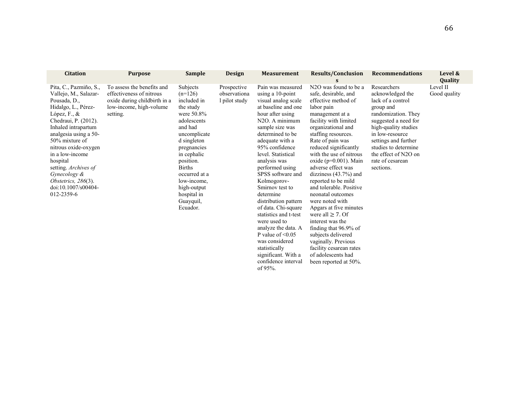| <b>Citation</b>                                                                                                                                                                                                                                                                                                                                                   | <b>Purpose</b>                                                                                                                | <b>Sample</b>                                                                                                                                                                                                                                                                  | <b>Design</b>                                | <b>Measurement</b>                                                                                                                                                                                                                                                                                                                                                                                                                                                                                            | <b>Results/Conclusion</b><br>S                                                                                                                                                                                                                                                                                                                                                                                                                                                                                                                                                        | <b>Recommendations</b>                                                                                                                                                                                                                                               | Level &<br>Quality       |
|-------------------------------------------------------------------------------------------------------------------------------------------------------------------------------------------------------------------------------------------------------------------------------------------------------------------------------------------------------------------|-------------------------------------------------------------------------------------------------------------------------------|--------------------------------------------------------------------------------------------------------------------------------------------------------------------------------------------------------------------------------------------------------------------------------|----------------------------------------------|---------------------------------------------------------------------------------------------------------------------------------------------------------------------------------------------------------------------------------------------------------------------------------------------------------------------------------------------------------------------------------------------------------------------------------------------------------------------------------------------------------------|---------------------------------------------------------------------------------------------------------------------------------------------------------------------------------------------------------------------------------------------------------------------------------------------------------------------------------------------------------------------------------------------------------------------------------------------------------------------------------------------------------------------------------------------------------------------------------------|----------------------------------------------------------------------------------------------------------------------------------------------------------------------------------------------------------------------------------------------------------------------|--------------------------|
| Pita, C., Pazmiño, S.,<br>Vallejo, M., Salazar-<br>Pousada, D.,<br>Hidalgo, L., Pérez-<br>López, F., $\&$<br>Chedraui, P. (2012).<br>Inhaled intrapartum<br>analgesia using a 50-<br>50% mixture of<br>nitrous oxide-oxygen<br>in a low-income<br>hospital<br>setting. Archives of<br>Gynecology &<br>Obstetrics, $286(3)$ .<br>doi:10.1007/s00404-<br>012-2359-6 | To assess the benefits and<br>effectiveness of nitrous<br>oxide during childbirth in a<br>low-income, high-volume<br>setting. | Subjects<br>$(n=126)$<br>included in<br>the study<br>were $50.8\%$<br>adolescents<br>and had<br>uncomplicate<br>d singleton<br>pregnancies<br>in cephalic<br>position.<br><b>Births</b><br>occurred at a<br>low-income,<br>high-output<br>hospital in<br>Guayquil,<br>Ecuador. | Prospective<br>observationa<br>l pilot study | Pain was measured<br>using a $10$ -point<br>visual analog scale<br>at baseline and one<br>hour after using<br>N <sub>2</sub> O. A minimum<br>sample size was<br>determined to be<br>adequate with a<br>95% confidence<br>level. Statistical<br>analysis was<br>performed using<br>SPSS software and<br>Kolmogorov-<br>Smirnov test to<br>determine<br>distribution pattern<br>of data. Chi-square<br>statistics and t-test<br>were used to<br>analyze the data. A<br>P value of $\leq 0.05$<br>was considered | N <sub>2</sub> O was found to be a<br>safe, desirable, and<br>effective method of<br>labor pain<br>management at a<br>facility with limited<br>organizational and<br>staffing resources.<br>Rate of pain was<br>reduced significantly<br>with the use of nitrous<br>oxide ( $p=0.001$ ). Main<br>adverse effect was<br>dizziness $(43.7%)$ and<br>reported to be mild<br>and tolerable. Positive<br>neonatal outcomes<br>were noted with<br>Apgars at five minutes<br>were all $\geq$ 7. Of<br>interest was the<br>finding that 96.9% of<br>subjects delivered<br>vaginally. Previous | Researchers<br>acknowledged the<br>lack of a control<br>group and<br>randomization. They<br>suggested a need for<br>high-quality studies<br>in low-resource<br>settings and further<br>studies to determine<br>the effect of N2O on<br>rate of cesarean<br>sections. | Level II<br>Good quality |

statistically significant. With a confidence interval

facility cesarean rates of adolescents had been reported at 50%.

of 95%.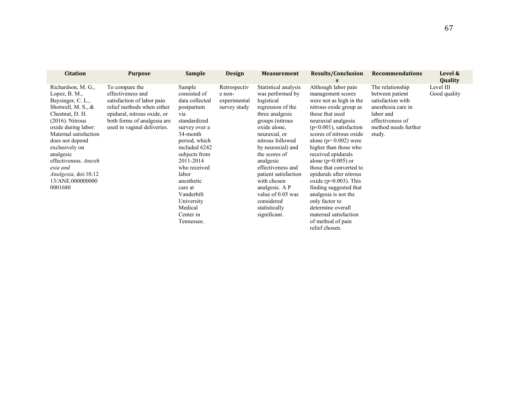| <b>Citation</b>                                                                                                                                                                                                                                                                                                          | <b>Purpose</b>                                                                                                                                                                                | <b>Sample</b>                                                                                                                                                                                                                                                                                  | <b>Design</b>                                          | <b>Measurement</b>                                                                                                                                                                                                                                                                                                                                                          | <b>Results/Conclusion</b>                                                                                                                                                                                                                                                                                                                                                                                                                                                                                                                         | <b>Recommendations</b>                                                                                                                            | Level &                   |
|--------------------------------------------------------------------------------------------------------------------------------------------------------------------------------------------------------------------------------------------------------------------------------------------------------------------------|-----------------------------------------------------------------------------------------------------------------------------------------------------------------------------------------------|------------------------------------------------------------------------------------------------------------------------------------------------------------------------------------------------------------------------------------------------------------------------------------------------|--------------------------------------------------------|-----------------------------------------------------------------------------------------------------------------------------------------------------------------------------------------------------------------------------------------------------------------------------------------------------------------------------------------------------------------------------|---------------------------------------------------------------------------------------------------------------------------------------------------------------------------------------------------------------------------------------------------------------------------------------------------------------------------------------------------------------------------------------------------------------------------------------------------------------------------------------------------------------------------------------------------|---------------------------------------------------------------------------------------------------------------------------------------------------|---------------------------|
|                                                                                                                                                                                                                                                                                                                          |                                                                                                                                                                                               |                                                                                                                                                                                                                                                                                                |                                                        |                                                                                                                                                                                                                                                                                                                                                                             | S                                                                                                                                                                                                                                                                                                                                                                                                                                                                                                                                                 |                                                                                                                                                   | Quality                   |
| Richardson, M. G.,<br>Lopez, B. M.,<br>Baysinger, C. L.,<br>Shotwell, M. S., $\&$<br>Chestnut, D. H.<br>$(2016)$ . Nitrous<br>oxide during labor:<br>Maternal satisfaction<br>does not depend<br>exclusively on<br>analgesic<br>effectiveness. Anesth<br>esia and<br>Analgesia, doi:10.12<br>13/ANE,000000000<br>0001680 | To compare the<br>effectiveness and<br>satisfaction of labor pain<br>relief methods when either<br>epidural, nitrous oxide, or<br>both forms of analgesia are.<br>used in vaginal deliveries. | Sample<br>consisted of<br>data collected<br>postpartum<br>via<br>standardized<br>survey over a<br>34-month<br>period, which<br>included 6242<br>subjects from<br>2011-2014<br>who received<br>labor<br>anesthetic<br>care at<br>Vanderbilt<br>University<br>Medical<br>Center in<br>Tennessee. | Retrospectiv<br>e non-<br>experimental<br>survey study | Statistical analysis<br>was performed by<br>logistical<br>regression of the<br>three analgesic<br>groups (nitrous<br>oxide alone.<br>neuraxial, or<br>nitrous followed<br>by neuraxial) and<br>the scores of<br>analgesic<br>effectiveness and<br>patient satisfaction<br>with chosen<br>analgesic. A P<br>value of 0.05 was<br>considered<br>statistically<br>significant. | Although labor pain<br>management scores<br>were not as high in the<br>nitrous oxide group as<br>those that used<br>neuraxial analgesia<br>$(p<0.001)$ , satisfaction<br>scores of nitrous oxide<br>alone ( $p=0.002$ ) were<br>higher than those who<br>received epidurals<br>alone ( $p=0.005$ ) or<br>those that converted to<br>epidurals after nitrous<br>oxide ( $p=0.003$ ). This<br>finding suggested that<br>analgesia is not the<br>only factor to<br>determine overall<br>maternal satisfaction<br>of method of pain<br>relief chosen. | The relationship<br>between patient<br>satisfaction with<br>anesthesia care in<br>labor and<br>effectiveness of<br>method needs further<br>study. | Level III<br>Good quality |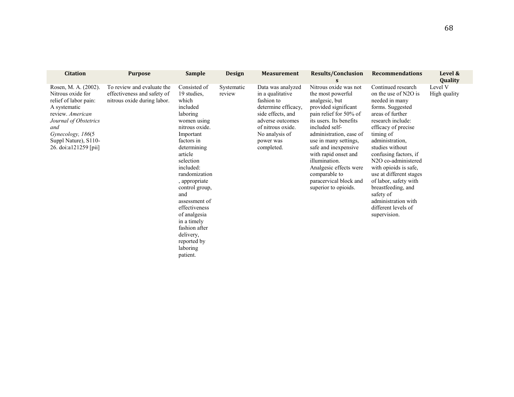| <b>Citation</b>                                                                                                                                                                                              | <b>Purpose</b>                                                                           | <b>Sample</b>                                                                                                                                                                                                                                                                                                                                                                 | <b>Design</b>        | <b>Measurement</b>                                                                                                                                                                    | <b>Results/Conclusion</b>                                                                                                                                                                                                                                                                                                                                                     | <b>Recommendations</b>                                                                                                                                                                                                                                                                                                                                                                                                                         | Level &<br>Quality      |
|--------------------------------------------------------------------------------------------------------------------------------------------------------------------------------------------------------------|------------------------------------------------------------------------------------------|-------------------------------------------------------------------------------------------------------------------------------------------------------------------------------------------------------------------------------------------------------------------------------------------------------------------------------------------------------------------------------|----------------------|---------------------------------------------------------------------------------------------------------------------------------------------------------------------------------------|-------------------------------------------------------------------------------------------------------------------------------------------------------------------------------------------------------------------------------------------------------------------------------------------------------------------------------------------------------------------------------|------------------------------------------------------------------------------------------------------------------------------------------------------------------------------------------------------------------------------------------------------------------------------------------------------------------------------------------------------------------------------------------------------------------------------------------------|-------------------------|
| Rosen, M. A. (2002).<br>Nitrous oxide for<br>relief of labor pain:<br>A systematic<br>review. American<br>Journal of Obstetrics<br>and<br>Gynecology, 186(5<br>Suppl Nature), S110-<br>26. doi:a121259 [pii] | To review and evaluate the<br>effectiveness and safety of<br>nitrous oxide during labor. | Consisted of<br>19 studies.<br>which<br>included<br>laboring<br>women using<br>nitrous oxide.<br>Important<br>factors in<br>determining<br>article<br>selection<br>included:<br>randomization<br>, appropriate<br>control group,<br>and<br>assessment of<br>effectiveness<br>of analgesia<br>in a timely<br>fashion after<br>delivery,<br>reported by<br>laboring<br>patient. | Systematic<br>review | Data was analyzed<br>in a qualitative<br>fashion to<br>determine efficacy,<br>side effects, and<br>adverse outcomes<br>of nitrous oxide.<br>No analysis of<br>power was<br>completed. | Nitrous oxide was not<br>the most powerful<br>analgesic, but<br>provided significant<br>pain relief for 50% of<br>its users. Its benefits<br>included self-<br>administration, ease of<br>use in many settings,<br>safe and inexpensive<br>with rapid onset and<br>illumination.<br>Analgesic effects were<br>comparable to<br>paracervical block and<br>superior to opioids. | Continued research<br>on the use of N2O is<br>needed in many<br>forms. Suggested<br>areas of further<br>research include:<br>efficacy of precise<br>timing of<br>administration,<br>studies without<br>confusing factors, if<br>N <sub>2</sub> O co-administered<br>with opioids is safe,<br>use at different stages<br>of labor, safety with<br>breastfeeding, and<br>safety of<br>administration with<br>different levels of<br>supervision. | Level V<br>High quality |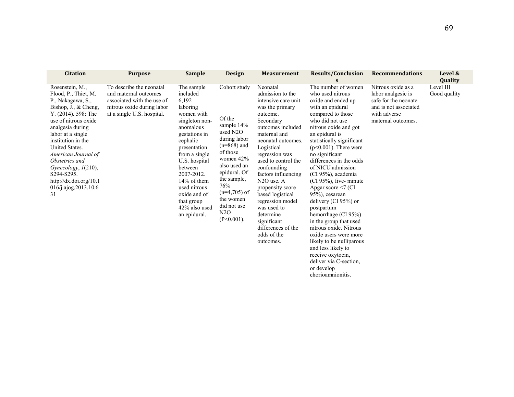| <b>Citation</b>                                                                                                                                                                                                                                                                                                                                            | <b>Purpose</b>                                                                                                                              | <b>Sample</b>                                                                                                                                                                                                                                                                                  | <b>Design</b>                                                                                                                                                                                                                             | <b>Measurement</b>                                                                                                                                                                                                                                                                                                                                                                                                                          | <b>Results/Conclusion</b>                                                                                                                                                                                                                                                                                                                                                                                                                                                                                                                                               | <b>Recommendations</b>                                                                                                          | Level &<br>Quality        |
|------------------------------------------------------------------------------------------------------------------------------------------------------------------------------------------------------------------------------------------------------------------------------------------------------------------------------------------------------------|---------------------------------------------------------------------------------------------------------------------------------------------|------------------------------------------------------------------------------------------------------------------------------------------------------------------------------------------------------------------------------------------------------------------------------------------------|-------------------------------------------------------------------------------------------------------------------------------------------------------------------------------------------------------------------------------------------|---------------------------------------------------------------------------------------------------------------------------------------------------------------------------------------------------------------------------------------------------------------------------------------------------------------------------------------------------------------------------------------------------------------------------------------------|-------------------------------------------------------------------------------------------------------------------------------------------------------------------------------------------------------------------------------------------------------------------------------------------------------------------------------------------------------------------------------------------------------------------------------------------------------------------------------------------------------------------------------------------------------------------------|---------------------------------------------------------------------------------------------------------------------------------|---------------------------|
| Rosenstein, M.,<br>Flood, P., Thiet, M.<br>P., Nakagawa, S.,<br>Bishop, J., & Cheng,<br>Y. (2014). 598: The<br>use of nitrous oxide<br>analgesia during<br>labor at a single<br>institution in the<br>United States.<br>American Journal of<br>Obstetrics and<br>Gynecology, 1(210),<br>S294-S295.<br>http://dx.doi.org/10.1<br>016/j.ajog.2013.10.6<br>31 | To describe the neonatal<br>and maternal outcomes<br>associated with the use of<br>nitrous oxide during labor<br>at a single U.S. hospital. | The sample<br>included<br>6,192<br>laboring<br>women with<br>singleton non-<br>anomalous<br>gestations in<br>cephalic<br>presentation<br>from a single<br>U.S. hospital<br>between<br>2007-2012.<br>14% of them<br>used nitrous<br>oxide and of<br>that group<br>42% also used<br>an epidural. | Cohort study<br>Of the<br>sample 14%<br>used N2O<br>during labor<br>$(n=868)$ and<br>of those<br>women $42\%$<br>also used an<br>epidural. Of<br>the sample,<br>76%<br>$(n=4,705)$ of<br>the women<br>did not use<br>N2O<br>$(P<0.001)$ . | Neonatal<br>admission to the<br>intensive care unit<br>was the primary<br>outcome.<br>Secondary<br>outcomes included<br>maternal and<br>neonatal outcomes.<br>Logistical<br>regression was<br>used to control the<br>confounding<br>factors influencing<br>N <sub>2</sub> O use. A<br>propensity score<br>based logistical<br>regression model<br>was used to<br>determine<br>significant<br>differences of the<br>odds of the<br>outcomes. | The number of women<br>who used nitrous<br>oxide and ended up<br>with an epidural<br>compared to those<br>who did not use<br>nitrous oxide and got<br>an epidural is<br>statistically significant<br>$(p<0.001)$ . There were<br>no significant<br>differences in the odds<br>of NICU admission<br>(CI 95%), academia<br>$(CI 95%)$ , five-minute<br>Apgar score $\leq$ (CI<br>95%), cesarean<br>delivery (CI $95\%$ ) or<br>postpartum<br>hemorrhage (CI 95%)<br>in the group that used<br>nitrous oxide. Nitrous<br>oxide users were more<br>likely to be nulliparous | Nitrous oxide as a<br>labor analgesic is<br>safe for the neonate<br>and is not associated<br>with adverse<br>maternal outcomes. | Level III<br>Good quality |

and less likely to receive oxytocin, deliver via C-section,

or develop chorioamnionitis.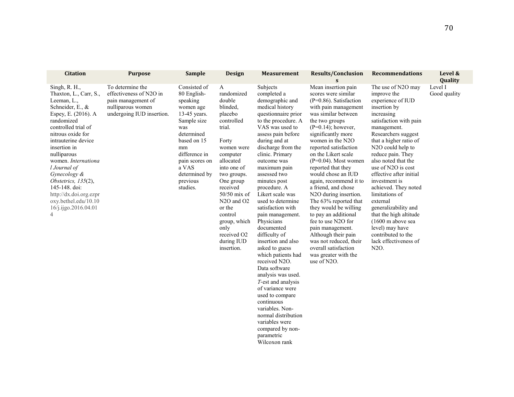| <b>Citation</b>                                                                                                                                                                                                                                                                                                                                                                                              | <b>Purpose</b>                                                                                                      | <b>Sample</b>                                                                                                                                                                                                      | <b>Design</b>                                                                                                                                                                                                                                                                                                                    | <b>Measurement</b>                                                                                                                                                                                                                                                                                                                                                                                                                                                                                                                                                                                                                                                                                                                           | <b>Results/Conclusion</b><br>S                                                                                                                                                                                                                                                                                                                                                                                                                                                                                                                                                                                                                                | <b>Recommendations</b>                                                                                                                                                                                                                                                                                                                                                                                                                                                                                                             | Level &<br>Quality      |
|--------------------------------------------------------------------------------------------------------------------------------------------------------------------------------------------------------------------------------------------------------------------------------------------------------------------------------------------------------------------------------------------------------------|---------------------------------------------------------------------------------------------------------------------|--------------------------------------------------------------------------------------------------------------------------------------------------------------------------------------------------------------------|----------------------------------------------------------------------------------------------------------------------------------------------------------------------------------------------------------------------------------------------------------------------------------------------------------------------------------|----------------------------------------------------------------------------------------------------------------------------------------------------------------------------------------------------------------------------------------------------------------------------------------------------------------------------------------------------------------------------------------------------------------------------------------------------------------------------------------------------------------------------------------------------------------------------------------------------------------------------------------------------------------------------------------------------------------------------------------------|---------------------------------------------------------------------------------------------------------------------------------------------------------------------------------------------------------------------------------------------------------------------------------------------------------------------------------------------------------------------------------------------------------------------------------------------------------------------------------------------------------------------------------------------------------------------------------------------------------------------------------------------------------------|------------------------------------------------------------------------------------------------------------------------------------------------------------------------------------------------------------------------------------------------------------------------------------------------------------------------------------------------------------------------------------------------------------------------------------------------------------------------------------------------------------------------------------|-------------------------|
| Singh, R. H.,<br>Thaxton, L., Carr, S.,<br>Leeman, L.,<br>Schneider, E., &<br>Espey, E. (2016). A<br>randomized<br>controlled trial of<br>nitrous oxide for<br>intrauterine device<br>insertion in<br>nulliparous<br>women. Internationa<br>l Journal of<br>Gynecology &<br>Obstetrics, 135(2),<br>145-148. doi:<br>http://dx.doi.org.ezpr<br>oxy.bethel.edu/10.10<br>16/j.ijgo.2016.04.01<br>$\overline{4}$ | To determine the<br>effectiveness of N2O in<br>pain management of<br>nulliparous women<br>undergoing IUD insertion. | Consisted of<br>80 English-<br>speaking<br>women age<br>13-45 years.<br>Sample size<br>was<br>determined<br>based on 15<br>mm<br>difference in<br>pain scores on<br>a VAS<br>determined by<br>previous<br>studies. | A<br>randomized<br>double<br>blinded,<br>placebo<br>controlled<br>trial.<br>Forty<br>women were<br>computer<br>allocated<br>into one of<br>two groups.<br>One group<br>received<br>$50/50$ mix of<br>N <sub>2</sub> O and O <sub>2</sub><br>or the<br>control<br>group, which<br>only<br>received O2<br>during IUD<br>insertion. | Subjects<br>completed a<br>demographic and<br>medical history<br>questionnaire prior<br>to the procedure. A<br>VAS was used to<br>assess pain before<br>during and at<br>discharge from the<br>clinic. Primary<br>outcome was<br>maximum pain<br>assessed two<br>minutes post<br>procedure. A<br>Likert scale was<br>used to determine<br>satisfaction with<br>pain management.<br>Physicians<br>documented<br>difficulty of<br>insertion and also<br>asked to guess<br>which patients had<br>received N2O.<br>Data software<br>analysis was used.<br>T-est and analysis<br>of variance were<br>used to compare<br>continuous<br>variables. Non-<br>normal distribution<br>variables were<br>compared by non-<br>parametric<br>Wilcoxon rank | Mean insertion pain<br>scores were similar<br>$(P=0.86)$ . Satisfaction<br>with pain management<br>was similar between<br>the two groups<br>$(P=0.14)$ ; however,<br>significantly more<br>women in the N2O<br>reported satisfaction<br>on the Likert scale<br>$(P=0.04)$ . Most women<br>reported that they<br>would chose an IUD<br>again, recommend it to<br>a friend, and chose<br>N <sub>2</sub> O during insertion.<br>The 63% reported that<br>they would be willing<br>to pay an additional<br>fee to use N2O for<br>pain management.<br>Although their pain<br>was not reduced, their<br>overall satisfaction<br>was greater with the<br>use of N2O. | The use of N2O may<br>improve the<br>experience of IUD<br>insertion by<br>increasing<br>satisfaction with pain<br>management.<br>Researchers suggest<br>that a higher ratio of<br>N2O could help to<br>reduce pain. They<br>also noted that the<br>use of N2O is cost<br>effective after initial<br>investment is<br>achieved. They noted<br>limitations of<br>external<br>generalizability and<br>that the high altitude<br>$(1600 \text{ m}$ above sea<br>level) may have<br>contributed to the<br>lack effectiveness of<br>N2O. | Level I<br>Good quality |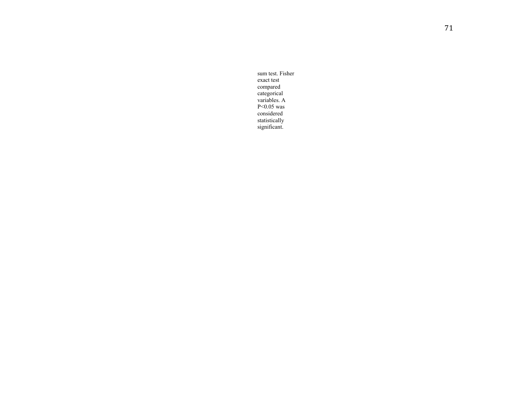sum test. Fisher exact test compared categorical variables. A P<0.05 was considered statistically significant.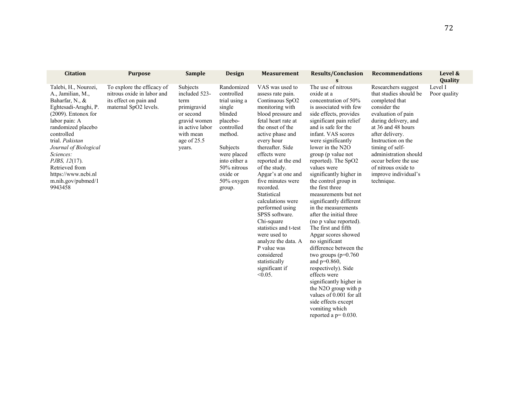| <b>Citation</b>                                                                                                                                                                                                                                                                                                                | <b>Purpose</b>                                                                                              | <b>Sample</b>                                                                                                                          | <b>Design</b>                                                                                                                                                                                      | <b>Measurement</b>                                                                                                                                                                                                                                                                                                                                                                                                                                                                                                                                     | <b>Results/Conclusion</b>                                                                                                                                                                                                                                                                                                                                                                                                                                                                                                                                                                                                                                                                                                                                                                                                        | <b>Recommendations</b>                                                                                                                                                                                                                                                                                                        | Level &                 |
|--------------------------------------------------------------------------------------------------------------------------------------------------------------------------------------------------------------------------------------------------------------------------------------------------------------------------------|-------------------------------------------------------------------------------------------------------------|----------------------------------------------------------------------------------------------------------------------------------------|----------------------------------------------------------------------------------------------------------------------------------------------------------------------------------------------------|--------------------------------------------------------------------------------------------------------------------------------------------------------------------------------------------------------------------------------------------------------------------------------------------------------------------------------------------------------------------------------------------------------------------------------------------------------------------------------------------------------------------------------------------------------|----------------------------------------------------------------------------------------------------------------------------------------------------------------------------------------------------------------------------------------------------------------------------------------------------------------------------------------------------------------------------------------------------------------------------------------------------------------------------------------------------------------------------------------------------------------------------------------------------------------------------------------------------------------------------------------------------------------------------------------------------------------------------------------------------------------------------------|-------------------------------------------------------------------------------------------------------------------------------------------------------------------------------------------------------------------------------------------------------------------------------------------------------------------------------|-------------------------|
|                                                                                                                                                                                                                                                                                                                                |                                                                                                             |                                                                                                                                        |                                                                                                                                                                                                    |                                                                                                                                                                                                                                                                                                                                                                                                                                                                                                                                                        | S                                                                                                                                                                                                                                                                                                                                                                                                                                                                                                                                                                                                                                                                                                                                                                                                                                |                                                                                                                                                                                                                                                                                                                               | Quality                 |
| Talebi, H., Nourozi,<br>A., Jamilian, M.,<br>Baharfar, N., &<br>Eghtesadi-Araghi, P.<br>$(2009)$ . Entonox for<br>labor pain: A<br>randomized placebo<br>controlled<br>trial. Pakistan<br>Journal of Biological<br>Sciences:<br><i>PJBS, 12(17).</i><br>Retrieved from<br>https://www.ncbi.nl<br>m.nih.gov/pubmed/1<br>9943458 | To explore the efficacy of<br>nitrous oxide in labor and<br>its effect on pain and<br>maternal SpO2 levels. | Subjects<br>included 523-<br>term<br>primigravid<br>or second<br>gravid women<br>in active labor<br>with mean<br>age of 25.5<br>years. | Randomized<br>controlled<br>trial using a<br>single<br>blinded<br>placebo-<br>controlled<br>method.<br>Subjects<br>were placed<br>into either a<br>50% nitrous<br>oxide or<br>50% oxygen<br>group. | VAS was used to<br>assess rate pain.<br>Continuous SpO2<br>monitoring with<br>blood pressure and<br>fetal heart rate at<br>the onset of the<br>active phase and<br>every hour<br>thereafter. Side<br>effects were<br>reported at the end<br>of the study.<br>Apgar's at one and<br>five minutes were<br>recorded.<br>Statistical<br>calculations were<br>performed using<br>SPSS software.<br>Chi-square<br>statistics and t-test<br>were used to<br>analyze the data. A<br>P value was<br>considered<br>statistically<br>significant if<br>$< 0.05$ . | The use of nitrous<br>oxide at a<br>concentration of 50%<br>is associated with few<br>side effects, provides<br>significant pain relief<br>and is safe for the<br>infant. VAS scores<br>were significantly<br>lower in the $N2O$<br>group (p value not<br>reported). The SpO2<br>values were<br>significantly higher in<br>the control group in<br>the first three<br>measurements but not<br>significantly different<br>in the measurements<br>after the initial three<br>(no p value reported).<br>The first and fifth<br>Apgar scores showed<br>no significant<br>difference between the<br>two groups $(p=0.760)$<br>and $p=0.860$ ,<br>respectively). Side<br>effects were<br>significantly higher in<br>the N2O group with p<br>values of 0.001 for all<br>side effects except<br>vomiting which<br>reported a $p=0.030$ . | Researchers suggest<br>that studies should be<br>completed that<br>consider the<br>evaluation of pain<br>during delivery, and<br>at 36 and 48 hours<br>after delivery.<br>Instruction on the<br>timing of self-<br>administration should<br>occur before the use<br>of nitrous oxide to<br>improve individual's<br>technique. | Level I<br>Poor quality |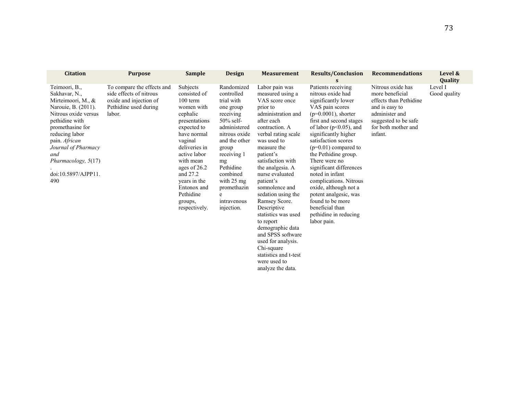| <b>Citation</b>                                                                                                                                                                                                                                                 | <b>Purpose</b>                                                                                                     | <b>Sample</b>                                                                                                                                                                                                                                                              | <b>Design</b>                                                                                                                                                                                                                                                 | <b>Measurement</b>                                                                                                                                                                                                                                                                                                                                                                                | <b>Results/Conclusion</b><br>S                                                                                                                                                                                                                                                                                                                                                                                                                                                                  | <b>Recommendations</b>                                                                                                                                       | Level &<br>Quality      |
|-----------------------------------------------------------------------------------------------------------------------------------------------------------------------------------------------------------------------------------------------------------------|--------------------------------------------------------------------------------------------------------------------|----------------------------------------------------------------------------------------------------------------------------------------------------------------------------------------------------------------------------------------------------------------------------|---------------------------------------------------------------------------------------------------------------------------------------------------------------------------------------------------------------------------------------------------------------|---------------------------------------------------------------------------------------------------------------------------------------------------------------------------------------------------------------------------------------------------------------------------------------------------------------------------------------------------------------------------------------------------|-------------------------------------------------------------------------------------------------------------------------------------------------------------------------------------------------------------------------------------------------------------------------------------------------------------------------------------------------------------------------------------------------------------------------------------------------------------------------------------------------|--------------------------------------------------------------------------------------------------------------------------------------------------------------|-------------------------|
| Teimoori, B.,<br>Sakhavar, N.,<br>Mirteimoori, M., &<br>Narouie, B. (2011).<br>Nitrous oxide versus<br>pethidine with<br>promethasine for<br>reducing labor<br>pain. African<br>Journal of Pharmacy<br>and<br>Pharmacology, 5(17)<br>doi:10.5897/AJPP11.<br>490 | To compare the effects and<br>side effects of nitrous<br>oxide and injection of<br>Pethidine used during<br>labor. | Subjects<br>consisted of<br>100 term<br>women with<br>cephalic<br>presentations<br>expected to<br>have normal<br>vaginal<br>deliveries in<br>active labor<br>with mean<br>ages of 26.2<br>and 27.2<br>years in the<br>Entonox and<br>Pethidine<br>groups,<br>respectively. | Randomized<br>controlled<br>trial with<br>one group<br>receiving<br>$50\%$ self-<br>administered<br>nitrous oxide<br>and the other<br>group<br>receiving 1<br>mg<br>Pethidine<br>combined<br>with $25 \text{ mg}$<br>promethazin<br>intravenous<br>injection. | Labor pain was<br>measured using a<br>VAS score once<br>prior to<br>administration and<br>after each<br>contraction. A<br>verbal rating scale<br>was used to<br>measure the<br>patient's<br>satisfaction with<br>the analgesia. A<br>nurse evaluated<br>patient's<br>somnolence and<br>sedation using the<br>Ramsey Score.<br>Descriptive<br>statistics was used<br>to report<br>demographic data | Patients receiving<br>nitrous oxide had<br>significantly lower<br>VAS pain scores<br>$(p=0.0001)$ , shorter<br>first and second stages<br>of labor ( $p<0.05$ ), and<br>significantly higher<br>satisfaction scores<br>$(p=0.01)$ compared to<br>the Pethidine group.<br>There were no<br>significant differences<br>noted in infant<br>complications. Nitrous<br>oxide, although not a<br>potent analgesic, was<br>found to be more<br>beneficial than<br>pethidine in reducing<br>labor pain. | Nitrous oxide has<br>more beneficial<br>effects than Pethidine<br>and is easy to<br>administer and<br>suggested to be safe<br>for both mother and<br>infant. | Level I<br>Good quality |

and SPSS software used for analysis. Chi-square statistics and t-test were used to analyze the data.